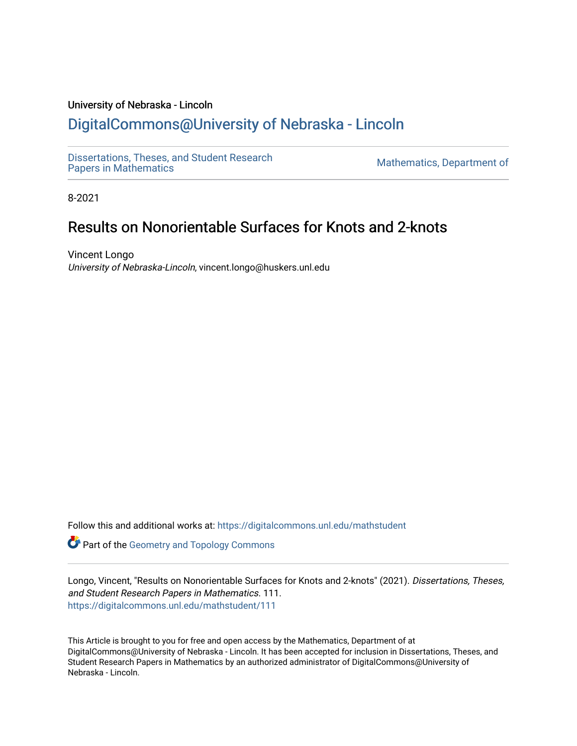## University of Nebraska - Lincoln [DigitalCommons@University of Nebraska - Lincoln](https://digitalcommons.unl.edu/)

[Dissertations, Theses, and Student Research](https://digitalcommons.unl.edu/mathstudent)

Mathematics, Department of

8-2021

# Results on Nonorientable Surfaces for Knots and 2-knots

Vincent Longo University of Nebraska-Lincoln, vincent.longo@huskers.unl.edu

Follow this and additional works at: [https://digitalcommons.unl.edu/mathstudent](https://digitalcommons.unl.edu/mathstudent?utm_source=digitalcommons.unl.edu%2Fmathstudent%2F111&utm_medium=PDF&utm_campaign=PDFCoverPages)

**Part of the Geometry and Topology Commons** 

Longo, Vincent, "Results on Nonorientable Surfaces for Knots and 2-knots" (2021). Dissertations, Theses, and Student Research Papers in Mathematics. 111. [https://digitalcommons.unl.edu/mathstudent/111](https://digitalcommons.unl.edu/mathstudent/111?utm_source=digitalcommons.unl.edu%2Fmathstudent%2F111&utm_medium=PDF&utm_campaign=PDFCoverPages)

This Article is brought to you for free and open access by the Mathematics, Department of at DigitalCommons@University of Nebraska - Lincoln. It has been accepted for inclusion in Dissertations, Theses, and Student Research Papers in Mathematics by an authorized administrator of DigitalCommons@University of Nebraska - Lincoln.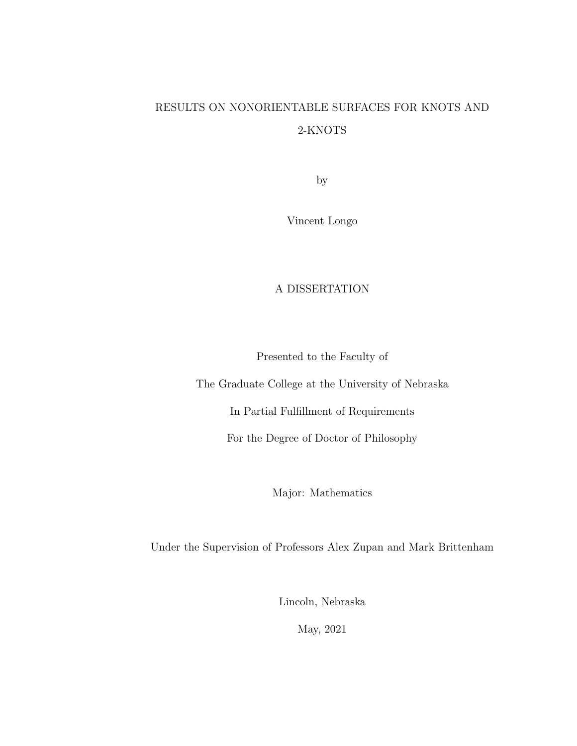# RESULTS ON NONORIENTABLE SURFACES FOR KNOTS AND 2-KNOTS

by

Vincent Longo

#### A DISSERTATION

Presented to the Faculty of

The Graduate College at the University of Nebraska

In Partial Fulfillment of Requirements

For the Degree of Doctor of Philosophy

Major: Mathematics

Under the Supervision of Professors Alex Zupan and Mark Brittenham

Lincoln, Nebraska

May, 2021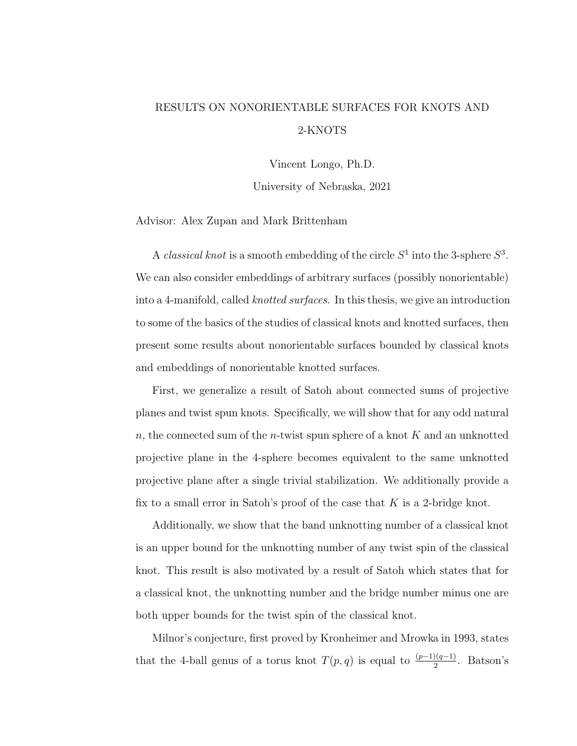# RESULTS ON NONORIENTABLE SURFACES FOR KNOTS AND 2-KNOTS

Vincent Longo, Ph.D.

University of Nebraska, 2021

Advisor: Alex Zupan and Mark Brittenham

A *classical knot* is a smooth embedding of the circle  $S^1$  into the 3-sphere  $S^3$ . We can also consider embeddings of arbitrary surfaces (possibly nonorientable) into a 4-manifold, called *knotted surfaces*. In this thesis, we give an introduction to some of the basics of the studies of classical knots and knotted surfaces, then present some results about nonorientable surfaces bounded by classical knots and embeddings of nonorientable knotted surfaces.

First, we generalize a result of Satoh about connected sums of projective planes and twist spun knots. Specifically, we will show that for any odd natural n, the connected sum of the n-twist spun sphere of a knot  $K$  and an unknotted projective plane in the 4-sphere becomes equivalent to the same unknotted projective plane after a single trivial stabilization. We additionally provide a fix to a small error in Satoh's proof of the case that  $K$  is a 2-bridge knot.

Additionally, we show that the band unknotting number of a classical knot is an upper bound for the unknotting number of any twist spin of the classical knot. This result is also motivated by a result of Satoh which states that for a classical knot, the unknotting number and the bridge number minus one are both upper bounds for the twist spin of the classical knot.

Milnor's conjecture, first proved by Kronheimer and Mrowka in 1993, states that the 4-ball genus of a torus knot  $T(p,q)$  is equal to  $\frac{(p-1)(q-1)}{2}$ . Batson's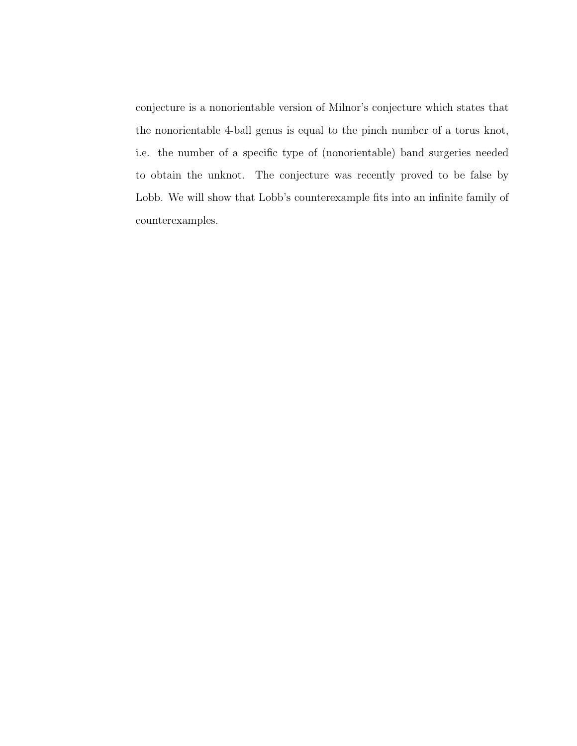conjecture is a nonorientable version of Milnor's conjecture which states that the nonorientable 4-ball genus is equal to the pinch number of a torus knot, i.e. the number of a specific type of (nonorientable) band surgeries needed to obtain the unknot. The conjecture was recently proved to be false by Lobb. We will show that Lobb's counterexample fits into an infinite family of counterexamples.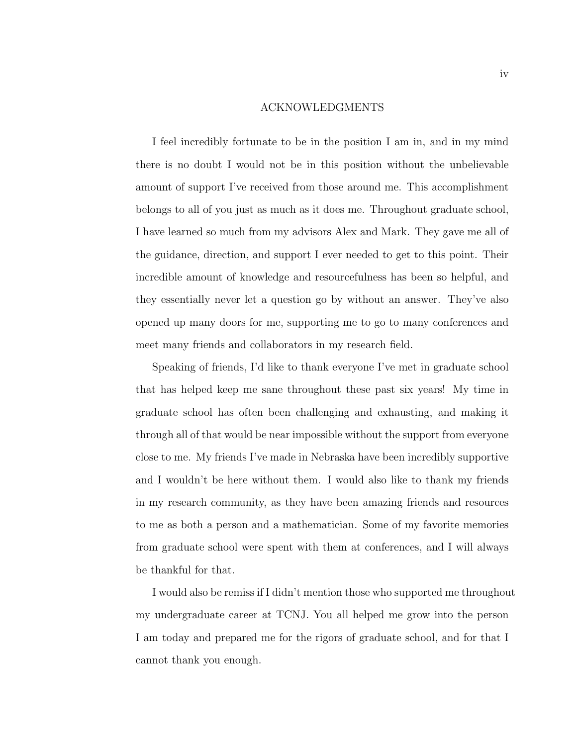#### ACKNOWLEDGMENTS

I feel incredibly fortunate to be in the position I am in, and in my mind there is no doubt I would not be in this position without the unbelievable amount of support I've received from those around me. This accomplishment belongs to all of you just as much as it does me. Throughout graduate school, I have learned so much from my advisors Alex and Mark. They gave me all of the guidance, direction, and support I ever needed to get to this point. Their incredible amount of knowledge and resourcefulness has been so helpful, and they essentially never let a question go by without an answer. They've also opened up many doors for me, supporting me to go to many conferences and meet many friends and collaborators in my research field.

Speaking of friends, I'd like to thank everyone I've met in graduate school that has helped keep me sane throughout these past six years! My time in graduate school has often been challenging and exhausting, and making it through all of that would be near impossible without the support from everyone close to me. My friends I've made in Nebraska have been incredibly supportive and I wouldn't be here without them. I would also like to thank my friends in my research community, as they have been amazing friends and resources to me as both a person and a mathematician. Some of my favorite memories from graduate school were spent with them at conferences, and I will always be thankful for that.

I would also be remiss if I didn't mention those who supported me throughout my undergraduate career at TCNJ. You all helped me grow into the person I am today and prepared me for the rigors of graduate school, and for that I cannot thank you enough.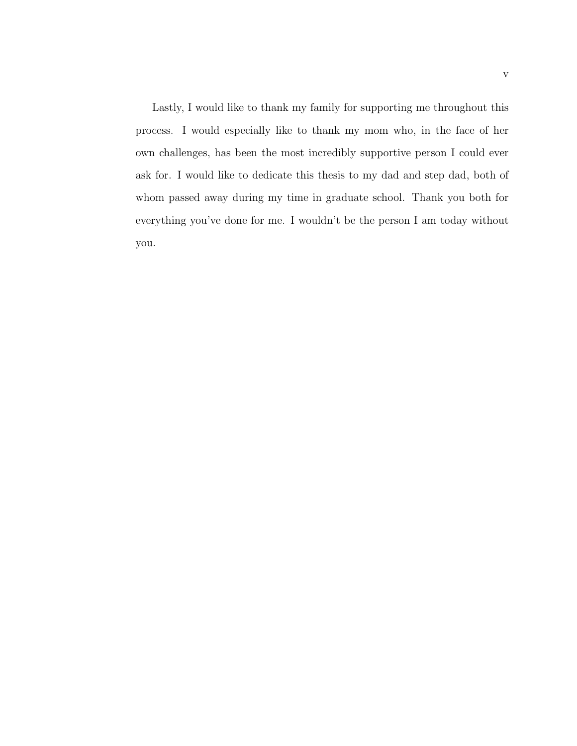Lastly, I would like to thank my family for supporting me throughout this process. I would especially like to thank my mom who, in the face of her own challenges, has been the most incredibly supportive person I could ever ask for. I would like to dedicate this thesis to my dad and step dad, both of whom passed away during my time in graduate school. Thank you both for everything you've done for me. I wouldn't be the person I am today without you.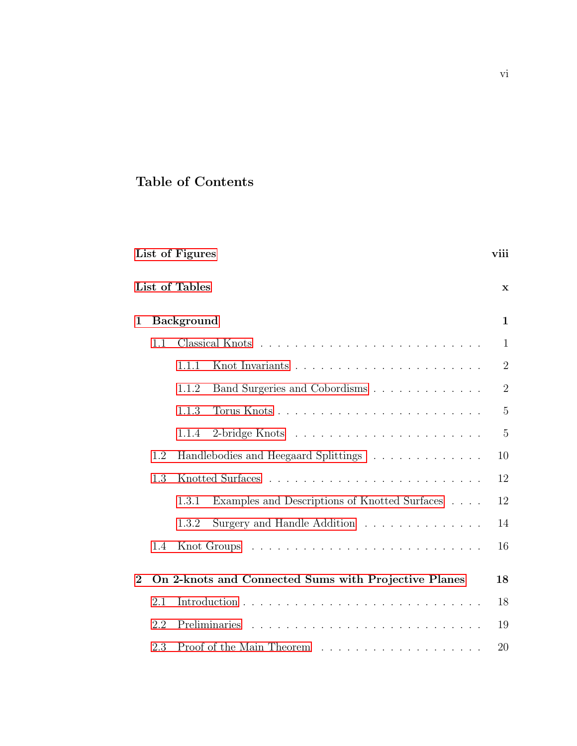## Table of Contents

|             | List of Tables                              |       |                                                      | $\mathbf x$    |
|-------------|---------------------------------------------|-------|------------------------------------------------------|----------------|
| 1           | <b>Background</b>                           |       |                                                      | $\mathbf{1}$   |
|             | 1.1                                         |       |                                                      | $\mathbf{1}$   |
|             |                                             | 1.1.1 |                                                      | $\overline{2}$ |
|             |                                             | 1.1.2 | Band Surgeries and Cobordisms                        | $\overline{2}$ |
|             |                                             | 1.1.3 |                                                      | $\overline{5}$ |
|             |                                             | 1.1.4 |                                                      | $\overline{5}$ |
|             | Handlebodies and Heegaard Splittings<br>1.2 |       |                                                      | 10             |
|             | 1.3                                         |       |                                                      | 12             |
|             |                                             | 1.3.1 | Examples and Descriptions of Knotted Surfaces        | 12             |
|             |                                             | 1.3.2 | Surgery and Handle Addition                          | 14             |
|             | 1.4                                         |       |                                                      | 16             |
| $\mathbf 2$ |                                             |       | On 2-knots and Connected Sums with Projective Planes | 18             |
|             | 2.1                                         |       |                                                      | 18             |
|             | 2.2                                         |       |                                                      | 19             |
|             | 2.3                                         |       |                                                      | 20             |

[List of Figures](#page-8-0) viii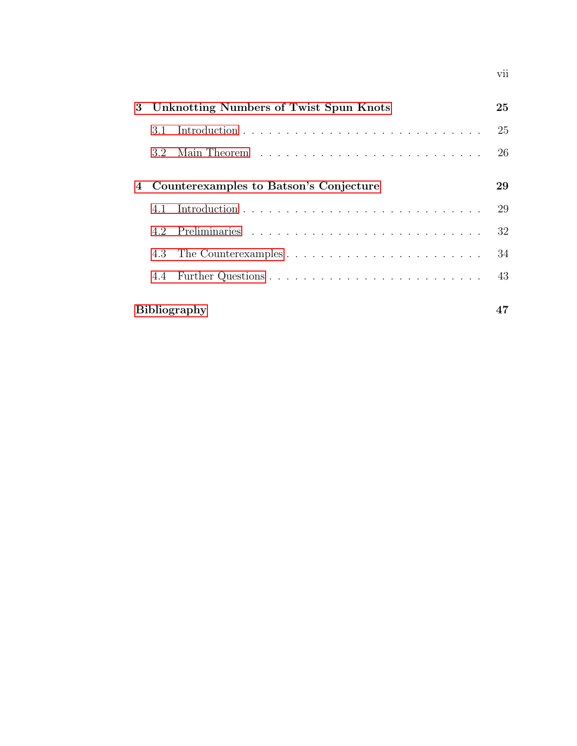| 3 |                                        | Unknotting Numbers of Twist Spun Knots | 25 |  |
|---|----------------------------------------|----------------------------------------|----|--|
|   | 3.1                                    |                                        | 25 |  |
|   | 3.2                                    |                                        | 26 |  |
|   |                                        |                                        |    |  |
| 4 | Counterexamples to Batson's Conjecture |                                        |    |  |
|   | 4.1                                    |                                        | 29 |  |
|   |                                        |                                        | 32 |  |
|   | 4.3                                    |                                        | 34 |  |
|   | 4.4                                    |                                        | 43 |  |
|   |                                        | <b>Bibliography</b>                    |    |  |

vii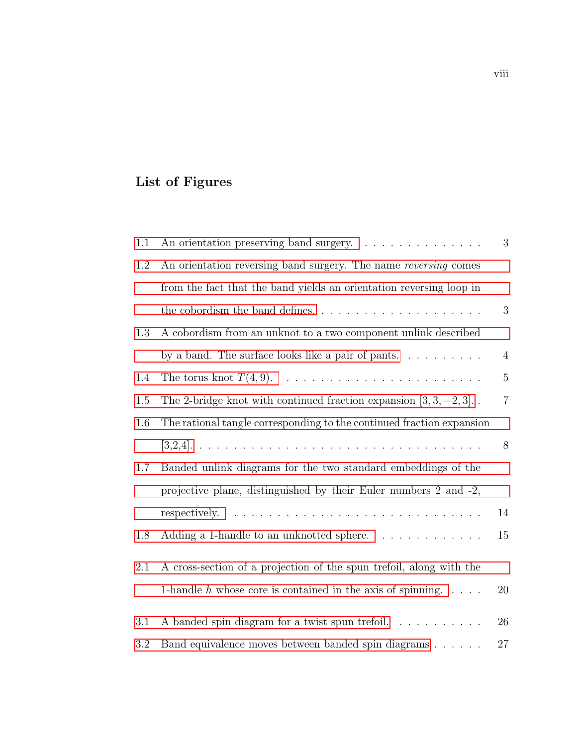# <span id="page-8-0"></span>List of Figures

| 1.1 | An orientation preserving band surgery.                                                                                                                                                                                                         | $\sqrt{3}$     |
|-----|-------------------------------------------------------------------------------------------------------------------------------------------------------------------------------------------------------------------------------------------------|----------------|
| 1.2 | An orientation reversing band surgery. The name reversing comes                                                                                                                                                                                 |                |
|     | from the fact that the band yields an orientation reversing loop in                                                                                                                                                                             |                |
|     |                                                                                                                                                                                                                                                 | $\sqrt{3}$     |
| 1.3 | A cobordism from an unknot to a two component unlink described                                                                                                                                                                                  |                |
|     | by a band. The surface looks like a pair of pants. $\dots \dots \dots$                                                                                                                                                                          | $\overline{4}$ |
| 1.4 |                                                                                                                                                                                                                                                 | $\mathbf 5$    |
| 1.5 | The 2-bridge knot with continued fraction expansion $[3, 3, -2, 3]$ .                                                                                                                                                                           | $\,7$          |
| 1.6 | The rational tangle corresponding to the continued fraction expansion                                                                                                                                                                           |                |
|     |                                                                                                                                                                                                                                                 | 8              |
| 1.7 | Banded unlink diagrams for the two standard embeddings of the                                                                                                                                                                                   |                |
|     | projective plane, distinguished by their Euler numbers 2 and -2,                                                                                                                                                                                |                |
|     | and the company of the company of the company of the company of the company of the company of the company of the company of the company of the company of the company of the company of the company of the company of the comp<br>respectively. | 14             |
| 1.8 | Adding a 1-handle to an unknotted sphere.                                                                                                                                                                                                       | 15             |
| 2.1 | A cross-section of a projection of the spun trefoil, along with the                                                                                                                                                                             |                |
|     | 1-handle $h$ whose core is contained in the axis of spinning. $\ldots$ .                                                                                                                                                                        | 20             |
| 3.1 | A banded spin diagram for a twist spun trefoil.                                                                                                                                                                                                 | $26\,$         |
| 3.2 | Band equivalence moves between banded spin diagrams                                                                                                                                                                                             | 27             |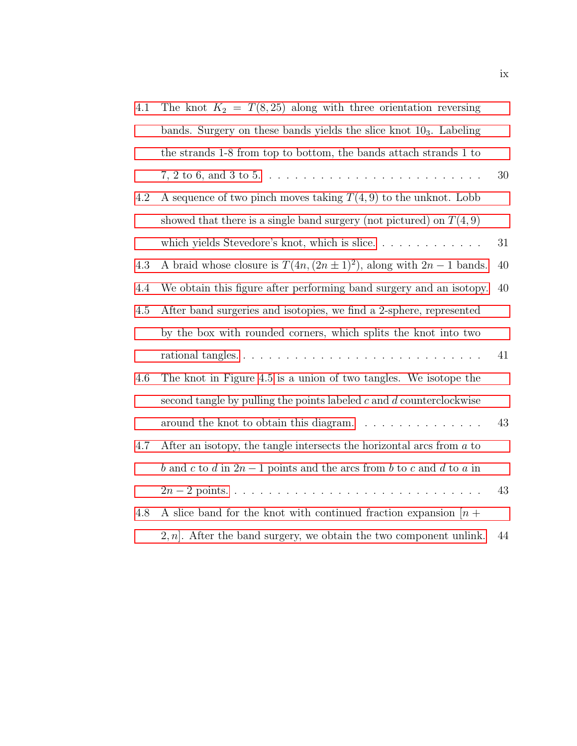| 4.1 | The knot $K_2 = T(8, 25)$ along with three orientation reversing            |    |
|-----|-----------------------------------------------------------------------------|----|
|     | bands. Surgery on these bands yields the slice knot $103$ . Labeling        |    |
|     | the strands 1-8 from top to bottom, the bands attach strands 1 to           |    |
|     |                                                                             | 30 |
| 4.2 | A sequence of two pinch moves taking $T(4,9)$ to the unknot. Lobb           |    |
|     | showed that there is a single band surgery (not pictured) on $T(4,9)$       |    |
|     | which yields Stevedore's knot, which is slice                               | 31 |
| 4.3 | A braid whose closure is $T(4n, (2n \pm 1)^2)$ , along with $2n - 1$ bands. | 40 |
| 4.4 | We obtain this figure after performing band surgery and an isotopy.         | 40 |
| 4.5 | After band surgeries and isotopies, we find a 2-sphere, represented         |    |
|     | by the box with rounded corners, which splits the knot into two             |    |
|     |                                                                             | 41 |
| 4.6 | The knot in Figure 4.5 is a union of two tangles. We isotope the            |    |
|     | second tangle by pulling the points labeled $c$ and $d$ counterclockwise    |    |
|     |                                                                             | 43 |
| 4.7 | After an isotopy, the tangle intersects the horizontal arcs from $a$ to     |    |
|     | b and c to d in $2n-1$ points and the arcs from b to c and d to a in        |    |
|     |                                                                             | 43 |
| 4.8 | A slice band for the knot with continued fraction expansion $[n +$          |    |
|     | $2, n$ . After the band surgery, we obtain the two component unlink.        | 44 |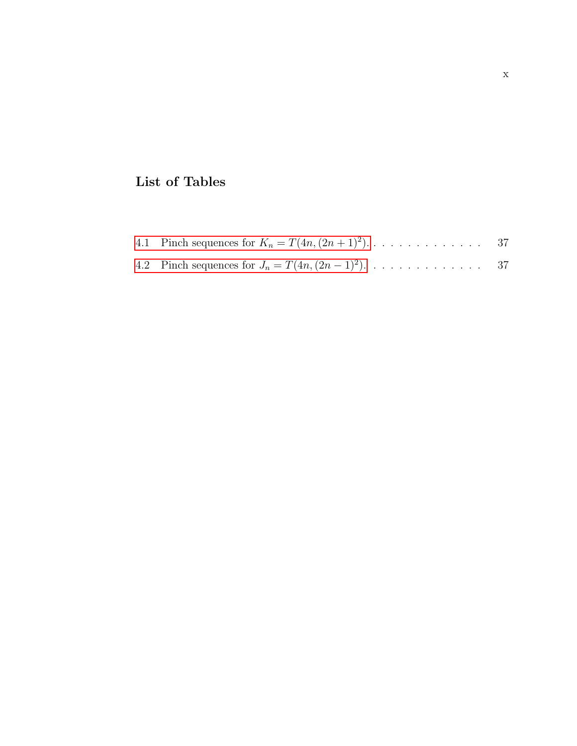## <span id="page-10-0"></span>List of Tables

|--|--|--|

4.2 Pinch sequences for 
$$
J_n = T(4n, (2n-1)^2)
$$
. . . . . . . . . . . . . 37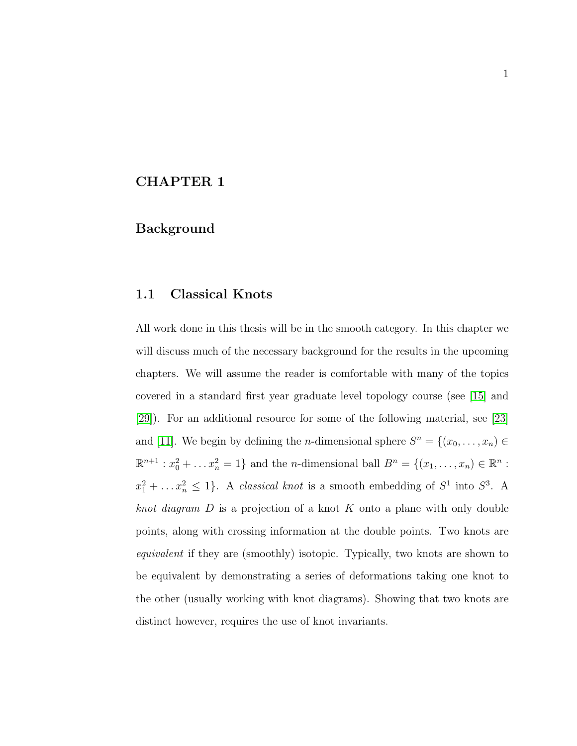### <span id="page-11-0"></span>CHAPTER 1

#### Background

#### <span id="page-11-1"></span>1.1 Classical Knots

All work done in this thesis will be in the smooth category. In this chapter we will discuss much of the necessary background for the results in the upcoming chapters. We will assume the reader is comfortable with many of the topics covered in a standard first year graduate level topology course (see [\[15\]](#page-58-0) and [\[29\]](#page-60-0)). For an additional resource for some of the following material, see [\[23\]](#page-59-0) and [\[11\]](#page-58-1). We begin by defining the *n*-dimensional sphere  $S^n = \{(x_0, \ldots, x_n) \in$  $\mathbb{R}^{n+1} : x_0^2 + ... x_n^2 = 1$  and the *n*-dimensional ball  $B^n = \{(x_1, ..., x_n) \in \mathbb{R}^n :$  $x_1^2 + \ldots x_n^2 \leq 1$ . A *classical knot* is a smooth embedding of  $S^1$  into  $S^3$ . A *knot diagram*  $D$  is a projection of a knot  $K$  onto a plane with only double points, along with crossing information at the double points. Two knots are equivalent if they are (smoothly) isotopic. Typically, two knots are shown to be equivalent by demonstrating a series of deformations taking one knot to the other (usually working with knot diagrams). Showing that two knots are distinct however, requires the use of knot invariants.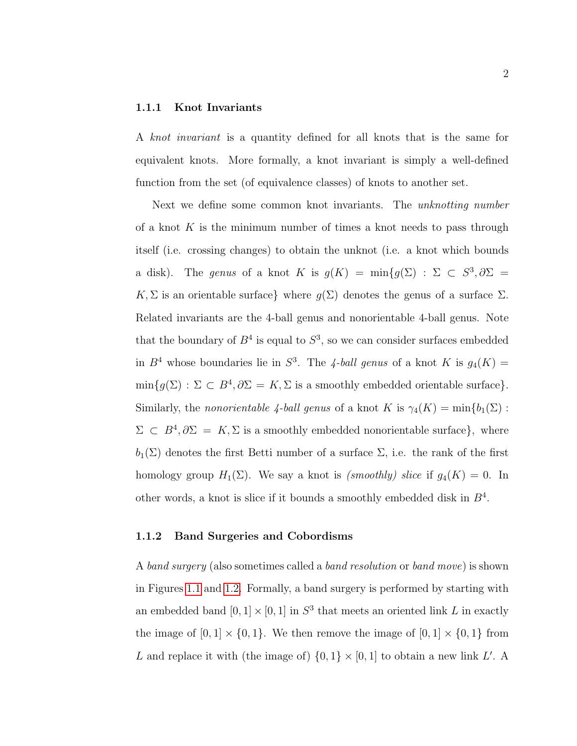#### <span id="page-12-0"></span>1.1.1 Knot Invariants

A knot invariant is a quantity defined for all knots that is the same for equivalent knots. More formally, a knot invariant is simply a well-defined function from the set (of equivalence classes) of knots to another set.

Next we define some common knot invariants. The unknotting number of a knot  $K$  is the minimum number of times a knot needs to pass through itself (i.e. crossing changes) to obtain the unknot (i.e. a knot which bounds a disk). The genus of a knot K is  $g(K) = \min\{g(\Sigma) : \Sigma \subset S^3, \partial \Sigma =$ K, Σ is an orientable surface} where  $g(\Sigma)$  denotes the genus of a surface  $\Sigma$ . Related invariants are the 4-ball genus and nonorientable 4-ball genus. Note that the boundary of  $B^4$  is equal to  $S^3$ , so we can consider surfaces embedded in  $B^4$  whose boundaries lie in  $S^3$ . The 4-ball genus of a knot K is  $g_4(K)$  =  $\min\{g(\Sigma) : \Sigma \subset B^4, \partial\Sigma = K, \Sigma \text{ is a smoothly embedded orientable surface}\}.$ Similarly, the *nonorientable 4-ball genus* of a knot K is  $\gamma_4(K) = \min\{b_1(\Sigma):$  $\Sigma \subset B^4, \partial \Sigma = K, \Sigma$  is a smoothly embedded nonorientable surface}, where  $b_1(\Sigma)$  denotes the first Betti number of a surface  $\Sigma$ , i.e. the rank of the first homology group  $H_1(\Sigma)$ . We say a knot is *(smoothly) slice* if  $g_4(K) = 0$ . In other words, a knot is slice if it bounds a smoothly embedded disk in  $B<sup>4</sup>$ .

#### <span id="page-12-1"></span>1.1.2 Band Surgeries and Cobordisms

A band surgery (also sometimes called a band resolution or band move) is shown in Figures [1.1](#page-13-0) and [1.2.](#page-13-1) Formally, a band surgery is performed by starting with an embedded band  $[0,1] \times [0,1]$  in  $S^3$  that meets an oriented link L in exactly the image of  $[0,1] \times \{0,1\}$ . We then remove the image of  $[0,1] \times \{0,1\}$  from L and replace it with (the image of)  $\{0,1\} \times [0,1]$  to obtain a new link L'. A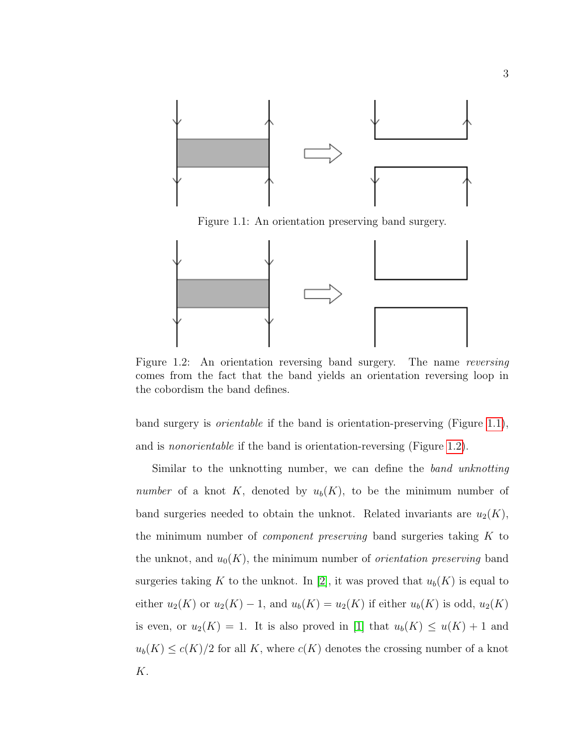<span id="page-13-0"></span>

Figure 1.1: An orientation preserving band surgery.

<span id="page-13-1"></span>

Figure 1.2: An orientation reversing band surgery. The name reversing comes from the fact that the band yields an orientation reversing loop in the cobordism the band defines.

band surgery is orientable if the band is orientation-preserving (Figure [1.1\)](#page-13-0), and is nonorientable if the band is orientation-reversing (Figure [1.2\)](#page-13-1).

Similar to the unknotting number, we can define the band unknotting number of a knot K, denoted by  $u_b(K)$ , to be the minimum number of band surgeries needed to obtain the unknot. Related invariants are  $u_2(K)$ , the minimum number of *component preserving* band surgeries taking K to the unknot, and  $u_0(K)$ , the minimum number of *orientation preserving* band surgeries taking K to the unknot. In [\[2\]](#page-57-1), it was proved that  $u_b(K)$  is equal to either  $u_2(K)$  or  $u_2(K) - 1$ , and  $u_b(K) = u_2(K)$  if either  $u_b(K)$  is odd,  $u_2(K)$ is even, or  $u_2(K) = 1$ . It is also proved in [\[1\]](#page-57-2) that  $u_b(K) \le u(K) + 1$  and  $u_b(K) \leq c(K)/2$  for all K, where  $c(K)$  denotes the crossing number of a knot K.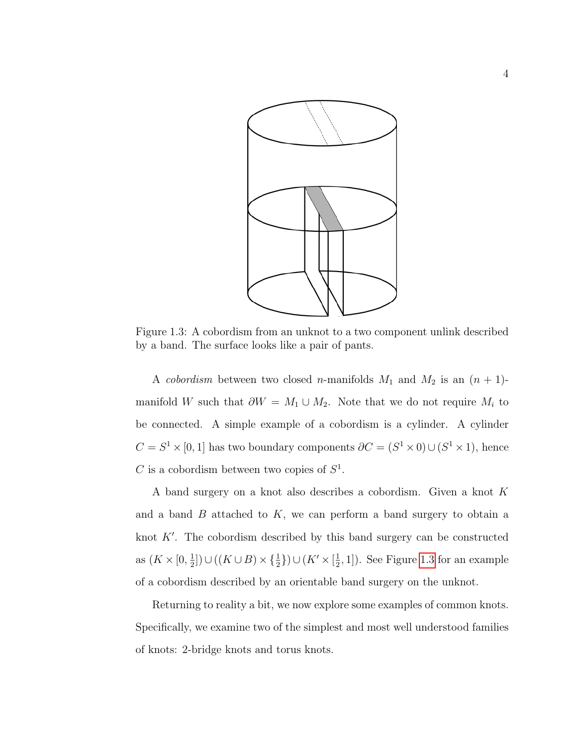<span id="page-14-0"></span>

Figure 1.3: A cobordism from an unknot to a two component unlink described by a band. The surface looks like a pair of pants.

A cobordism between two closed n-manifolds  $M_1$  and  $M_2$  is an  $(n + 1)$ manifold W such that  $\partial W = M_1 \cup M_2$ . Note that we do not require  $M_i$  to be connected. A simple example of a cobordism is a cylinder. A cylinder  $C = S^1 \times [0,1]$  has two boundary components  $\partial C = (S^1 \times 0) \cup (S^1 \times 1)$ , hence C is a cobordism between two copies of  $S^1$ .

A band surgery on a knot also describes a cobordism. Given a knot K and a band  $B$  attached to  $K$ , we can perform a band surgery to obtain a knot  $K'$ . The cobordism described by this band surgery can be constructed as  $(K \times [0, \frac{1}{2})$  $\frac{1}{2}$ ])∪((K∪B)× $\{\frac{1}{2}\}\$ ∪(K'× $[\frac{1}{2}]$  $(\frac{1}{2}, 1]$ ). See Figure [1.3](#page-14-0) for an example of a cobordism described by an orientable band surgery on the unknot.

Returning to reality a bit, we now explore some examples of common knots. Specifically, we examine two of the simplest and most well understood families of knots: 2-bridge knots and torus knots.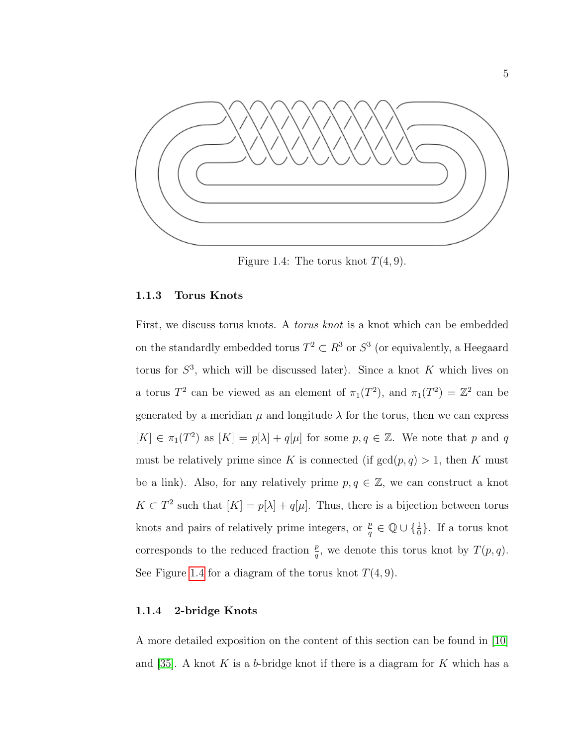<span id="page-15-2"></span>

Figure 1.4: The torus knot  $T(4, 9)$ .

#### <span id="page-15-0"></span>1.1.3 Torus Knots

First, we discuss torus knots. A *torus knot* is a knot which can be embedded on the standardly embedded torus  $T^2 \subset \mathbb{R}^3$  or  $S^3$  (or equivalently, a Heegaard torus for  $S^3$ , which will be discussed later). Since a knot K which lives on a torus  $T^2$  can be viewed as an element of  $\pi_1(T^2)$ , and  $\pi_1(T^2) = \mathbb{Z}^2$  can be generated by a meridian  $\mu$  and longitude  $\lambda$  for the torus, then we can express  $[K] \in \pi_1(T^2)$  as  $[K] = p[\lambda] + q[\mu]$  for some  $p, q \in \mathbb{Z}$ . We note that p and q must be relatively prime since K is connected (if  $gcd(p, q) > 1$ , then K must be a link). Also, for any relatively prime  $p, q \in \mathbb{Z}$ , we can construct a knot  $K \subset T^2$  such that  $[K] = p[\lambda] + q[\mu]$ . Thus, there is a bijection between torus knots and pairs of relatively prime integers, or  $\frac{p}{q} \in \mathbb{Q} \cup \{\frac{1}{0}\}\$ . If a torus knot corresponds to the reduced fraction  $\frac{p}{q}$ , we denote this torus knot by  $T(p,q)$ . See Figure [1.4](#page-15-2) for a diagram of the torus knot  $T(4, 9)$ .

#### <span id="page-15-1"></span>1.1.4 2-bridge Knots

A more detailed exposition on the content of this section can be found in [\[10\]](#page-58-2) and [\[35\]](#page-60-1). A knot K is a b-bridge knot if there is a diagram for K which has a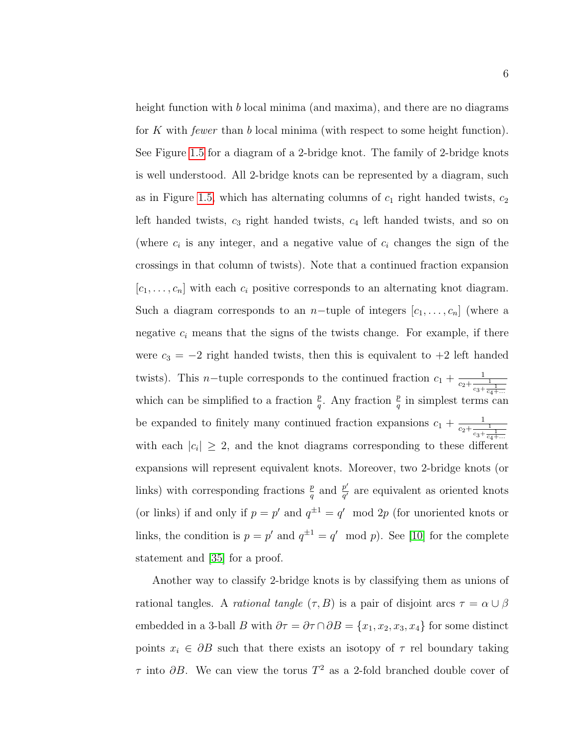height function with b local minima (and maxima), and there are no diagrams for K with fewer than b local minima (with respect to some height function). See Figure [1.5](#page-17-0) for a diagram of a 2-bridge knot. The family of 2-bridge knots is well understood. All 2-bridge knots can be represented by a diagram, such as in Figure [1.5,](#page-17-0) which has alternating columns of  $c_1$  right handed twists,  $c_2$ left handed twists,  $c_3$  right handed twists,  $c_4$  left handed twists, and so on (where  $c_i$  is any integer, and a negative value of  $c_i$  changes the sign of the crossings in that column of twists). Note that a continued fraction expansion  $[c_1, \ldots, c_n]$  with each  $c_i$  positive corresponds to an alternating knot diagram. Such a diagram corresponds to an n-tuple of integers  $[c_1, \ldots, c_n]$  (where a negative  $c_i$  means that the signs of the twists change. For example, if there were  $c_3 = -2$  right handed twists, then this is equivalent to  $+2$  left handed twists). This *n*-tuple corresponds to the continued fraction  $c_1 + \frac{1}{c_2 + \frac{1}{c_3 + \frac{1}{c_4 + \dotsb}}}$ which can be simplified to a fraction  $\frac{p}{q}$ . Any fraction  $\frac{p}{q}$  in simplest terms can be expanded to finitely many continued fraction expansions  $c_1 + \frac{1}{c_2 + \frac{1}{c_3 + \frac{1}{c_4 + \dotsb}}}$ with each  $|c_i| \geq 2$ , and the knot diagrams corresponding to these different expansions will represent equivalent knots. Moreover, two 2-bridge knots (or links) with corresponding fractions  $\frac{p}{q}$  and  $\frac{p'}{q'}$  $\frac{p}{q'}$  are equivalent as oriented knots (or links) if and only if  $p = p'$  and  $q^{\pm 1} = q' \mod 2p$  (for unoriented knots or links, the condition is  $p = p'$  and  $q^{\pm 1} = q' \mod p$ . See [\[10\]](#page-58-2) for the complete statement and [\[35\]](#page-60-1) for a proof.

Another way to classify 2-bridge knots is by classifying them as unions of rational tangles. A *rational tangle*  $(\tau, B)$  is a pair of disjoint arcs  $\tau = \alpha \cup \beta$ embedded in a 3-ball B with  $\partial \tau = \partial \tau \cap \partial B = \{x_1, x_2, x_3, x_4\}$  for some distinct points  $x_i \in \partial B$  such that there exists an isotopy of  $\tau$  rel boundary taking  $\tau$  into  $\partial B$ . We can view the torus  $T^2$  as a 2-fold branched double cover of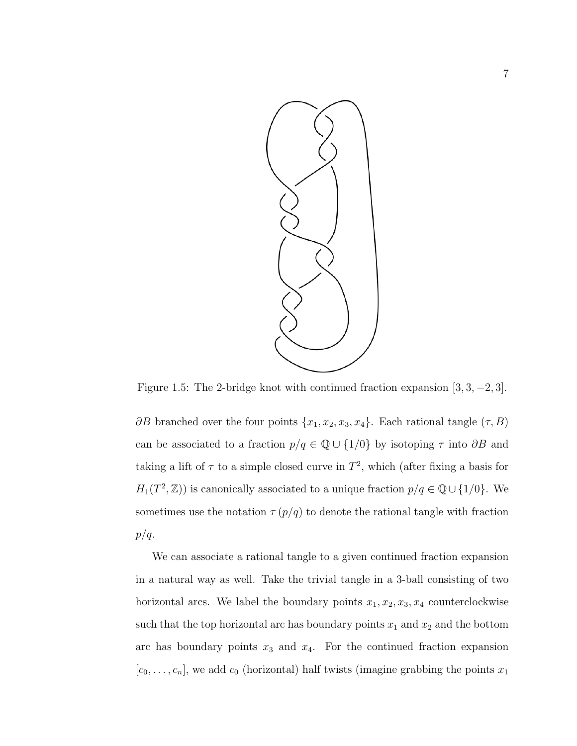<span id="page-17-0"></span>

Figure 1.5: The 2-bridge knot with continued fraction expansion [3, 3, −2, 3].

 $\partial B$  branched over the four points  $\{x_1, x_2, x_3, x_4\}$ . Each rational tangle  $(\tau, B)$ can be associated to a fraction  $p/q \in \mathbb{Q} \cup \{1/0\}$  by isotoping  $\tau$  into  $\partial B$  and taking a lift of  $\tau$  to a simple closed curve in  $T^2$ , which (after fixing a basis for  $H_1(T^2, \mathbb{Z})$  is canonically associated to a unique fraction  $p/q \in \mathbb{Q} \cup \{1/0\}$ . We sometimes use the notation  $\tau (p/q)$  to denote the rational tangle with fraction  $p/q$ .

We can associate a rational tangle to a given continued fraction expansion in a natural way as well. Take the trivial tangle in a 3-ball consisting of two horizontal arcs. We label the boundary points  $x_1, x_2, x_3, x_4$  counterclockwise such that the top horizontal arc has boundary points  $x_1$  and  $x_2$  and the bottom arc has boundary points  $x_3$  and  $x_4$ . For the continued fraction expansion  $[c_0, \ldots, c_n]$ , we add  $c_0$  (horizontal) half twists (imagine grabbing the points  $x_1$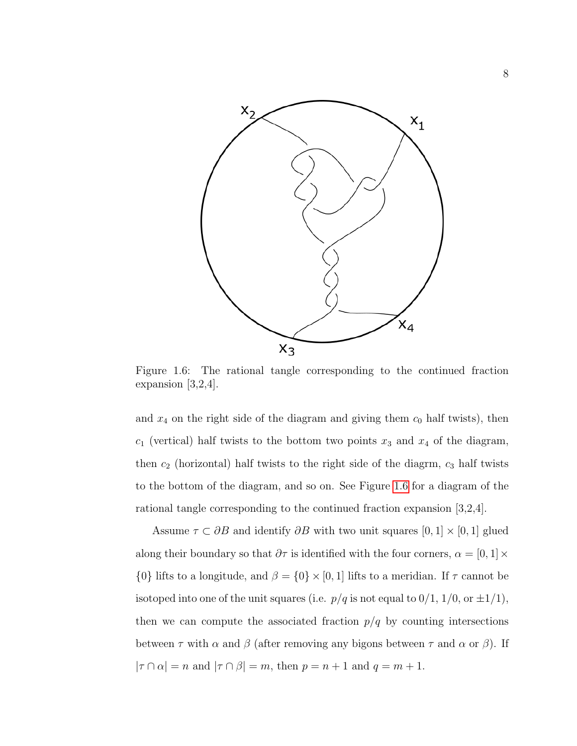<span id="page-18-0"></span>

Figure 1.6: The rational tangle corresponding to the continued fraction expansion [3,2,4].

and  $x_4$  on the right side of the diagram and giving them  $c_0$  half twists), then  $c_1$  (vertical) half twists to the bottom two points  $x_3$  and  $x_4$  of the diagram, then  $c_2$  (horizontal) half twists to the right side of the diagrm,  $c_3$  half twists to the bottom of the diagram, and so on. See Figure [1.6](#page-18-0) for a diagram of the rational tangle corresponding to the continued fraction expansion [3,2,4].

Assume  $\tau \subset \partial B$  and identify  $\partial B$  with two unit squares  $[0, 1] \times [0, 1]$  glued along their boundary so that  $\partial \tau$  is identified with the four corners,  $\alpha = [0, 1] \times$ {0} lifts to a longitude, and  $\beta = \{0\} \times [0, 1]$  lifts to a meridian. If  $\tau$  cannot be isotoped into one of the unit squares (i.e.  $p/q$  is not equal to  $0/1$ ,  $1/0$ , or  $\pm 1/1$ ), then we can compute the associated fraction  $p/q$  by counting intersections between  $\tau$  with  $\alpha$  and  $\beta$  (after removing any bigons between  $\tau$  and  $\alpha$  or  $\beta$ ). If  $|\tau \cap \alpha| = n$  and  $|\tau \cap \beta| = m$ , then  $p = n + 1$  and  $q = m + 1$ .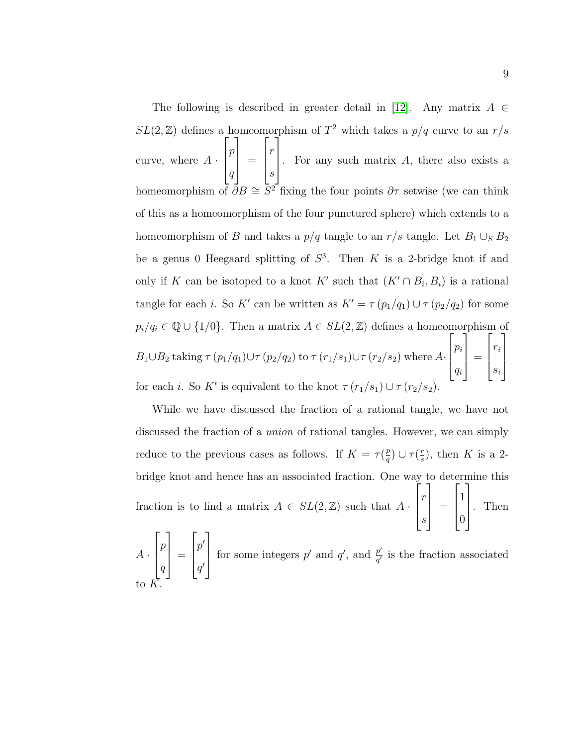The following is described in greater detail in [\[12\]](#page-58-3). Any matrix  $A \in$  $SL(2,\mathbb{Z})$  defines a homeomorphism of  $T^2$  which takes a  $p/q$  curve to an  $r/s$ curve, where  $A \cdot$  $\sqrt{ }$  $\overline{\phantom{a}}$ p q 1  $\Big\} =$  $\sqrt{ }$  $\overline{\phantom{a}}$ r s 1 For any such matrix  $A$ , there also exists a homeomorphism of  $\overline{\partial}B \cong \overline{S^2}$  fixing the four points  $\partial\tau$  setwise (we can think of this as a homeomorphism of the four punctured sphere) which extends to a homeomorphism of  $B$  and takes a  $p/q$  tangle to an  $r/s$  tangle. Let  $B_1 \cup_S B_2$ be a genus 0 Heegaard splitting of  $S^3$ . Then K is a 2-bridge knot if and only if K can be isotoped to a knot K' such that  $(K' \cap B_i, B_i)$  is a rational tangle for each *i*. So K' can be written as  $K' = \tau (p_1/q_1) \cup \tau (p_2/q_2)$  for some  $p_i/q_i \in \mathbb{Q} \cup \{1/0\}$ . Then a matrix  $A \in SL(2,\mathbb{Z})$  defines a homeomorphism of  $B_1 \cup B_2$  taking  $\tau (p_1/q_1) \cup \tau (p_2/q_2)$  to  $\tau (r_1/s_1) \cup \tau (r_2/s_2)$  where  $A$ ·  $\sqrt{ }$  $\overline{\phantom{a}}$  $p_i$ qi 1  $\Bigg| =$  $\lceil$  $\overline{\phantom{a}}$ ri si 1  $\overline{\phantom{a}}$ for each *i*. So K' is equivalent to the knot  $\tau (r_1/s_1) \cup \tau (r_2/s_2)$ .

While we have discussed the fraction of a rational tangle, we have not discussed the fraction of a union of rational tangles. However, we can simply reduce to the previous cases as follows. If  $K = \tau(\frac{p}{q})$  $\frac{p}{q}$ )  $\cup \tau$ ( $\frac{r}{s}$  $(\frac{r}{s})$ , then K is a 2bridge knot and hence has an associated fraction. One way to determine this fraction is to find a matrix  $A \in SL(2, \mathbb{Z})$  such that  $A \cdot$  $\sqrt{ }$  $\overline{\phantom{a}}$ r s 1  $\Big\} =$  $\sqrt{ }$  $\parallel$ 1  $\overline{0}$ 1  $\parallel$ . Then  $\sqrt{ }$ 1  $\sqrt{ }$ 1

 $A \cdot$  $\overline{\phantom{a}}$ p  $\overline{q}$  $\Bigg| =$  $\overline{\phantom{a}}$  $p^{\prime}$  $q^{\prime}$ for some integers  $p'$  and  $q'$ , and  $\frac{p'}{q'}$  $\frac{p'}{q'}$  is the fraction associated to  $\bar{K}$ .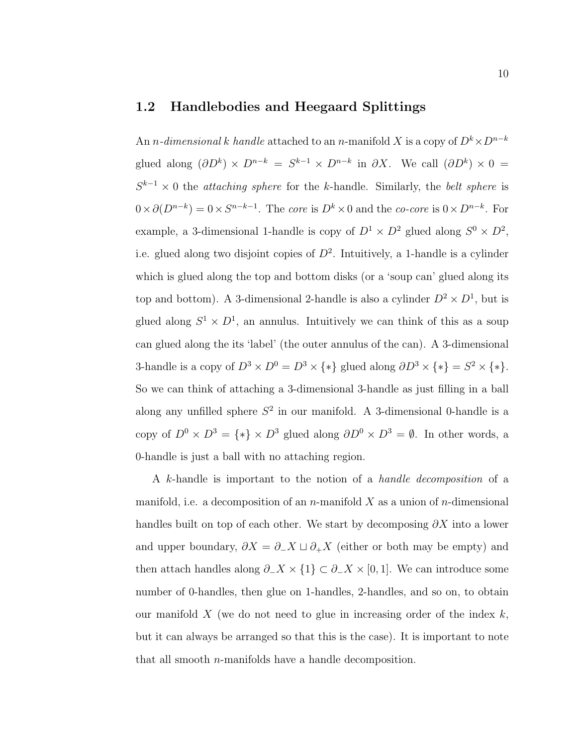#### <span id="page-20-0"></span>1.2 Handlebodies and Heegaard Splittings

An *n*-dimensional k handle attached to an *n*-manifold X is a copy of  $D^k \times D^{n-k}$ glued along  $(\partial D^k) \times D^{n-k} = S^{k-1} \times D^{n-k}$  in  $\partial X$ . We call  $(\partial D^k) \times 0 =$  $S^{k-1} \times 0$  the *attaching sphere* for the k-handle. Similarly, the *belt sphere* is  $0 \times \partial (D^{n-k}) = 0 \times S^{n-k-1}$ . The core is  $D^k \times 0$  and the co-core is  $0 \times D^{n-k}$ . For example, a 3-dimensional 1-handle is copy of  $D^1 \times D^2$  glued along  $S^0 \times D^2$ , i.e. glued along two disjoint copies of  $D^2$ . Intuitively, a 1-handle is a cylinder which is glued along the top and bottom disks (or a 'soup can' glued along its top and bottom). A 3-dimensional 2-handle is also a cylinder  $D^2 \times D^1$ , but is glued along  $S^1 \times D^1$ , an annulus. Intuitively we can think of this as a soup can glued along the its 'label' (the outer annulus of the can). A 3-dimensional 3-handle is a copy of  $D^3 \times D^0 = D^3 \times \{*\}$  glued along  $\partial D^3 \times \{*\} = S^2 \times \{*\}.$ So we can think of attaching a 3-dimensional 3-handle as just filling in a ball along any unfilled sphere  $S^2$  in our manifold. A 3-dimensional 0-handle is a copy of  $D^0 \times D^3 = \{*\} \times D^3$  glued along  $\partial D^0 \times D^3 = \emptyset$ . In other words, a 0-handle is just a ball with no attaching region.

A k-handle is important to the notion of a handle decomposition of a manifold, i.e. a decomposition of an n-manifold X as a union of n-dimensional handles built on top of each other. We start by decomposing  $\partial X$  into a lower and upper boundary,  $\partial X = \partial_{-}X \sqcup \partial_{+}X$  (either or both may be empty) and then attach handles along  $\partial$ <sub>−</sub>X × {1} ⊂  $\partial$ −X × [0, 1]. We can introduce some number of 0-handles, then glue on 1-handles, 2-handles, and so on, to obtain our manifold  $X$  (we do not need to glue in increasing order of the index  $k$ , but it can always be arranged so that this is the case). It is important to note that all smooth n-manifolds have a handle decomposition.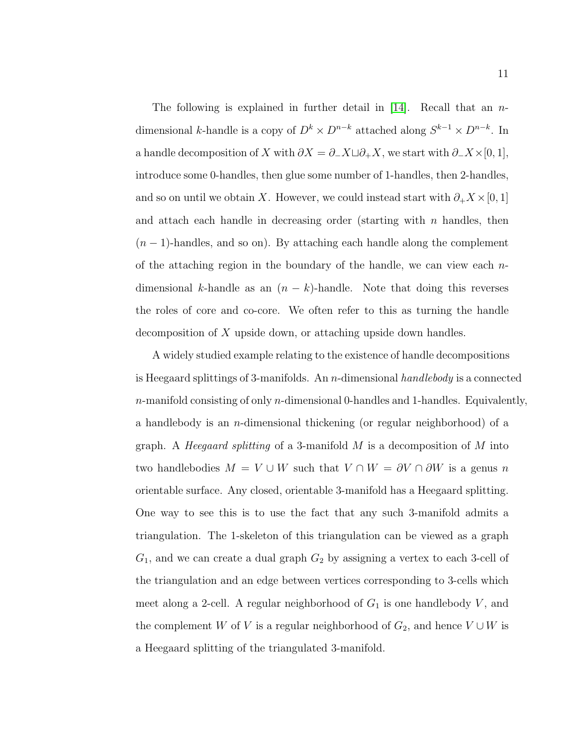The following is explained in further detail in [\[14\]](#page-58-4). Recall that an  $n$ dimensional k-handle is a copy of  $D^k \times D^{n-k}$  attached along  $S^{k-1} \times D^{n-k}$ . In a handle decomposition of X with  $\partial X = \partial_X \Box \partial_X + X$ , we start with  $\partial_X \times [0,1],$ introduce some 0-handles, then glue some number of 1-handles, then 2-handles, and so on until we obtain X. However, we could instead start with  $\partial_+ X \times [0,1]$ and attach each handle in decreasing order (starting with  $n$  handles, then  $(n-1)$ -handles, and so on). By attaching each handle along the complement of the attaching region in the boundary of the handle, we can view each  $n$ dimensional k-handle as an  $(n - k)$ -handle. Note that doing this reverses the roles of core and co-core. We often refer to this as turning the handle decomposition of X upside down, or attaching upside down handles.

A widely studied example relating to the existence of handle decompositions is Heegaard splittings of 3-manifolds. An n-dimensional handlebody is a connected  $n$ -manifold consisting of only  $n$ -dimensional 0-handles and 1-handles. Equivalently, a handlebody is an *n*-dimensional thickening (or regular neighborhood) of a graph. A *Heegaard splitting* of a 3-manifold  $M$  is a decomposition of  $M$  into two handlebodies  $M = V \cup W$  such that  $V \cap W = \partial V \cap \partial W$  is a genus n orientable surface. Any closed, orientable 3-manifold has a Heegaard splitting. One way to see this is to use the fact that any such 3-manifold admits a triangulation. The 1-skeleton of this triangulation can be viewed as a graph  $G_1$ , and we can create a dual graph  $G_2$  by assigning a vertex to each 3-cell of the triangulation and an edge between vertices corresponding to 3-cells which meet along a 2-cell. A regular neighborhood of  $G_1$  is one handlebody  $V$ , and the complement W of V is a regular neighborhood of  $G_2$ , and hence  $V \cup W$  is a Heegaard splitting of the triangulated 3-manifold.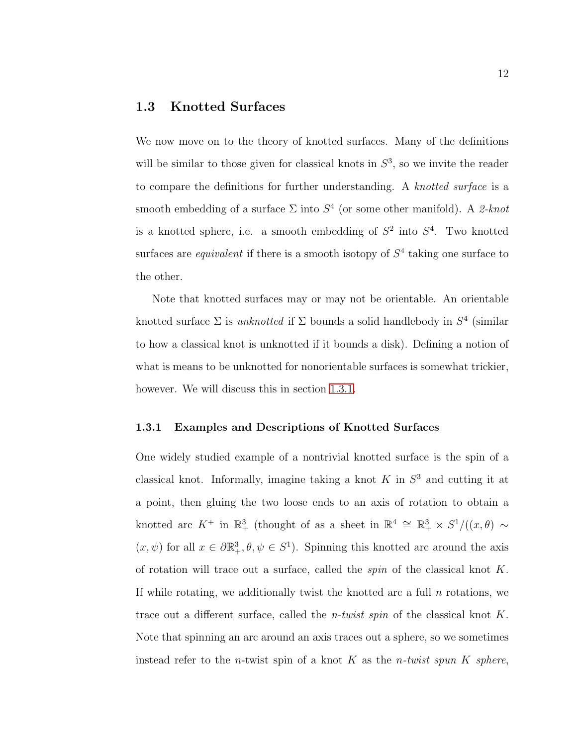### <span id="page-22-0"></span>1.3 Knotted Surfaces

We now move on to the theory of knotted surfaces. Many of the definitions will be similar to those given for classical knots in  $S<sup>3</sup>$ , so we invite the reader to compare the definitions for further understanding. A knotted surface is a smooth embedding of a surface  $\Sigma$  into  $S<sup>4</sup>$  (or some other manifold). A 2-knot is a knotted sphere, i.e. a smooth embedding of  $S^2$  into  $S^4$ . Two knotted surfaces are *equivalent* if there is a smooth isotopy of  $S<sup>4</sup>$  taking one surface to the other.

Note that knotted surfaces may or may not be orientable. An orientable knotted surface  $\Sigma$  is *unknotted* if  $\Sigma$  bounds a solid handlebody in  $S^4$  (similar to how a classical knot is unknotted if it bounds a disk). Defining a notion of what is means to be unknotted for nonorientable surfaces is somewhat trickier, however. We will discuss this in section [1.3.1.](#page-22-1)

#### <span id="page-22-1"></span>1.3.1 Examples and Descriptions of Knotted Surfaces

One widely studied example of a nontrivial knotted surface is the spin of a classical knot. Informally, imagine taking a knot  $K$  in  $S<sup>3</sup>$  and cutting it at a point, then gluing the two loose ends to an axis of rotation to obtain a knotted arc  $K^+$  in  $\mathbb{R}^3_+$  (thought of as a sheet in  $\mathbb{R}^4 \cong \mathbb{R}^3_+ \times S^1/((x,\theta) \sim$  $(x, \psi)$  for all  $x \in \partial \mathbb{R}^3_+, \theta, \psi \in S^1$ . Spinning this knotted arc around the axis of rotation will trace out a surface, called the spin of the classical knot K. If while rotating, we additionally twist the knotted arc a full  $n$  rotations, we trace out a different surface, called the *n-twist spin* of the classical knot  $K$ . Note that spinning an arc around an axis traces out a sphere, so we sometimes instead refer to the *n*-twist spin of a knot K as the *n*-twist spun K sphere,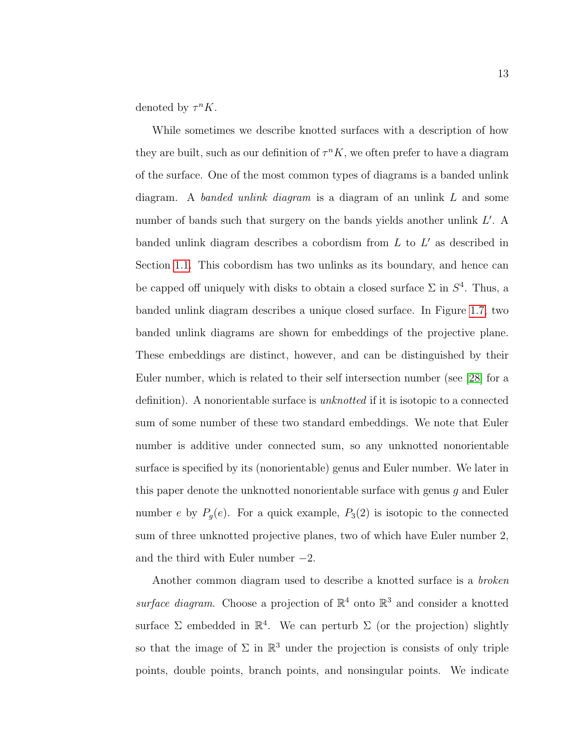denoted by  $\tau^n K$ .

While sometimes we describe knotted surfaces with a description of how they are built, such as our definition of  $\tau^n K$ , we often prefer to have a diagram of the surface. One of the most common types of diagrams is a banded unlink diagram. A banded unlink diagram is a diagram of an unlink  $L$  and some number of bands such that surgery on the bands yields another unlink  $L'$ . A banded unlink diagram describes a cobordism from  $L$  to  $L'$  as described in Section [1.1.](#page-11-1) This cobordism has two unlinks as its boundary, and hence can be capped off uniquely with disks to obtain a closed surface  $\Sigma$  in  $S<sup>4</sup>$ . Thus, a banded unlink diagram describes a unique closed surface. In Figure [1.7,](#page-24-1) two banded unlink diagrams are shown for embeddings of the projective plane. These embeddings are distinct, however, and can be distinguished by their Euler number, which is related to their self intersection number (see [\[28\]](#page-60-2) for a definition). A nonorientable surface is unknotted if it is isotopic to a connected sum of some number of these two standard embeddings. We note that Euler number is additive under connected sum, so any unknotted nonorientable surface is specified by its (nonorientable) genus and Euler number. We later in this paper denote the unknotted nonorientable surface with genus g and Euler number e by  $P_g(e)$ . For a quick example,  $P_3(2)$  is isotopic to the connected sum of three unknotted projective planes, two of which have Euler number 2, and the third with Euler number  $-2$ .

Another common diagram used to describe a knotted surface is a broken surface diagram. Choose a projection of  $\mathbb{R}^4$  onto  $\mathbb{R}^3$  and consider a knotted surface  $\Sigma$  embedded in  $\mathbb{R}^4$ . We can perturb  $\Sigma$  (or the projection) slightly so that the image of  $\Sigma$  in  $\mathbb{R}^3$  under the projection is consists of only triple points, double points, branch points, and nonsingular points. We indicate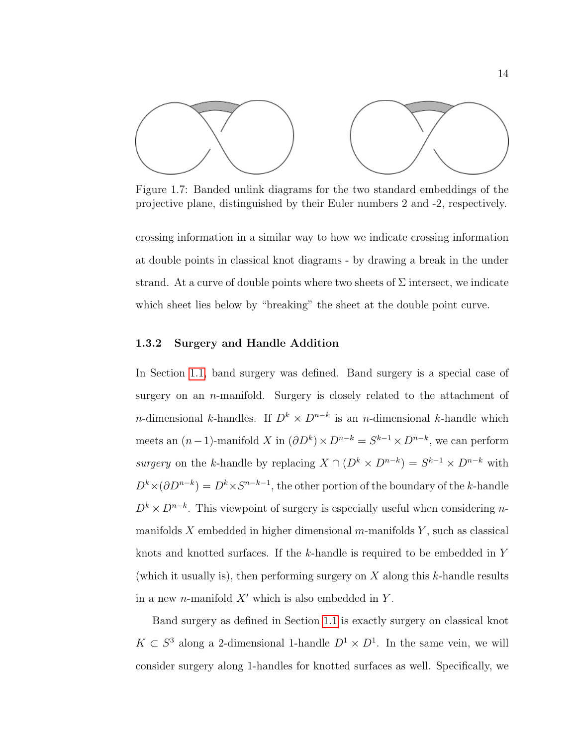<span id="page-24-1"></span>

Figure 1.7: Banded unlink diagrams for the two standard embeddings of the projective plane, distinguished by their Euler numbers 2 and -2, respectively.

crossing information in a similar way to how we indicate crossing information at double points in classical knot diagrams - by drawing a break in the under strand. At a curve of double points where two sheets of  $\Sigma$  intersect, we indicate which sheet lies below by "breaking" the sheet at the double point curve.

#### <span id="page-24-0"></span>1.3.2 Surgery and Handle Addition

In Section [1.1,](#page-11-1) band surgery was defined. Band surgery is a special case of surgery on an n-manifold. Surgery is closely related to the attachment of n-dimensional k-handles. If  $D^k \times D^{n-k}$  is an n-dimensional k-handle which meets an  $(n-1)$ -manifold X in  $(\partial D^k) \times D^{n-k} = S^{k-1} \times D^{n-k}$ , we can perform surgery on the k-handle by replacing  $X \cap (D^k \times D^{n-k}) = S^{k-1} \times D^{n-k}$  with  $D^k \times (\partial D^{n-k}) = D^k \times S^{n-k-1}$ , the other portion of the boundary of the k-handle  $D^k \times D^{n-k}$ . This viewpoint of surgery is especially useful when considering nmanifolds X embedded in higher dimensional  $m$ -manifolds Y, such as classical knots and knotted surfaces. If the  $k$ -handle is required to be embedded in Y (which it usually is), then performing surgery on  $X$  along this  $k$ -handle results in a new *n*-manifold  $X'$  which is also embedded in Y.

Band surgery as defined in Section [1.1](#page-11-1) is exactly surgery on classical knot  $K \subset S^3$  along a 2-dimensional 1-handle  $D^1 \times D^1$ . In the same vein, we will consider surgery along 1-handles for knotted surfaces as well. Specifically, we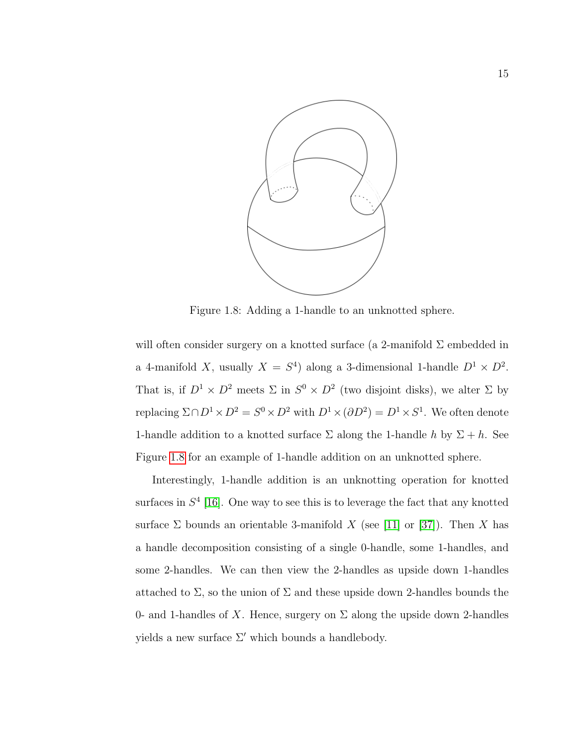<span id="page-25-0"></span>

Figure 1.8: Adding a 1-handle to an unknotted sphere.

will often consider surgery on a knotted surface (a 2-manifold  $\Sigma$  embedded in a 4-manifold X, usually  $X = S<sup>4</sup>$  along a 3-dimensional 1-handle  $D<sup>1</sup> \times D<sup>2</sup>$ . That is, if  $D^1 \times D^2$  meets  $\Sigma$  in  $S^0 \times D^2$  (two disjoint disks), we alter  $\Sigma$  by replacing  $\Sigma \cap D^1 \times D^2 = S^0 \times D^2$  with  $D^1 \times (\partial D^2) = D^1 \times S^1$ . We often denote 1-handle addition to a knotted surface  $\Sigma$  along the 1-handle h by  $\Sigma + h$ . See Figure [1.8](#page-25-0) for an example of 1-handle addition on an unknotted sphere.

Interestingly, 1-handle addition is an unknotting operation for knotted surfaces in  $S<sup>4</sup>$  [\[16\]](#page-58-5). One way to see this is to leverage the fact that any knotted surface  $\Sigma$  bounds an orientable 3-manifold X (see [\[11\]](#page-58-1) or [\[37\]](#page-61-0)). Then X has a handle decomposition consisting of a single 0-handle, some 1-handles, and some 2-handles. We can then view the 2-handles as upside down 1-handles attached to  $\Sigma$ , so the union of  $\Sigma$  and these upside down 2-handles bounds the 0- and 1-handles of X. Hence, surgery on  $\Sigma$  along the upside down 2-handles yields a new surface  $\Sigma'$  which bounds a handlebody.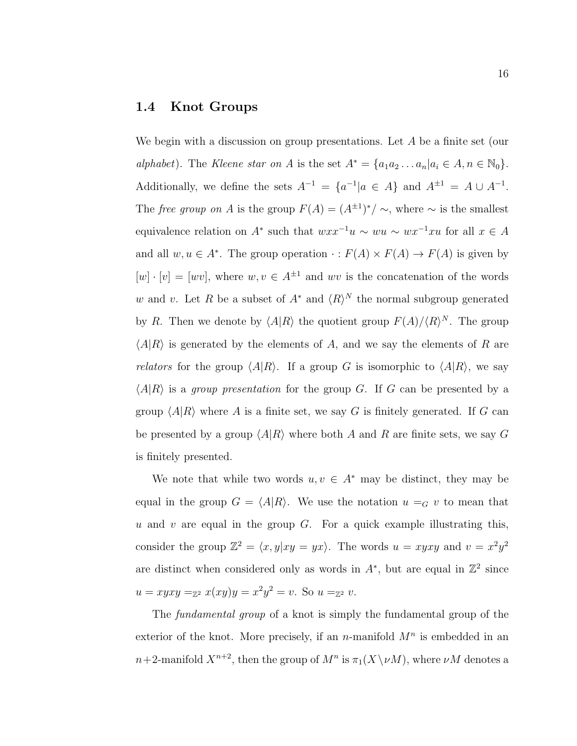#### <span id="page-26-0"></span>1.4 Knot Groups

We begin with a discussion on group presentations. Let A be a finite set (our alphabet). The Kleene star on A is the set  $A^* = \{a_1a_2 \ldots a_n | a_i \in A, n \in \mathbb{N}_0\}.$ Additionally, we define the sets  $A^{-1} = \{a^{-1} | a \in A\}$  and  $A^{\pm 1} = A \cup A^{-1}$ . The free group on A is the group  $F(A) = (A^{\pm 1})^*/ \sim$ , where  $\sim$  is the smallest equivalence relation on  $A^*$  such that  $wxx^{-1}u \sim wu \sim wx^{-1}xu$  for all  $x \in A$ and all  $w, u \in A^*$ . The group operation  $\cdot : F(A) \times F(A) \to F(A)$  is given by  $[w] \cdot [v] = [wv]$ , where  $w, v \in A^{\pm 1}$  and wv is the concatenation of the words w and v. Let R be a subset of  $A^*$  and  $\langle R \rangle^N$  the normal subgroup generated by R. Then we denote by  $\langle A|R \rangle$  the quotient group  $F(A)/\langle R \rangle^N$ . The group  $\langle A|R \rangle$  is generated by the elements of A, and we say the elements of R are *relators* for the group  $\langle A|R \rangle$ . If a group G is isomorphic to  $\langle A|R \rangle$ , we say  $\langle A|R \rangle$  is a group presentation for the group G. If G can be presented by a group  $\langle A|R \rangle$  where A is a finite set, we say G is finitely generated. If G can be presented by a group  $\langle A|R \rangle$  where both A and R are finite sets, we say G is finitely presented.

We note that while two words  $u, v \in A^*$  may be distinct, they may be equal in the group  $G = \langle A|R \rangle$ . We use the notation  $u =_G v$  to mean that u and v are equal in the group  $G$ . For a quick example illustrating this, consider the group  $\mathbb{Z}^2 = \langle x, y | xy = yx \rangle$ . The words  $u = xyxy$  and  $v = x^2y^2$ are distinct when considered only as words in  $A^*$ , but are equal in  $\mathbb{Z}^2$  since  $u = xyxy =_{\mathbb{Z}^2} x(xy)y = x^2y^2 = v.$  So  $u =_{\mathbb{Z}^2} v.$ 

The fundamental group of a knot is simply the fundamental group of the exterior of the knot. More precisely, if an n-manifold  $M<sup>n</sup>$  is embedded in an  $n+2$ -manifold  $X^{n+2}$ , then the group of  $M^n$  is  $\pi_1(X \setminus \nu M)$ , where  $\nu M$  denotes a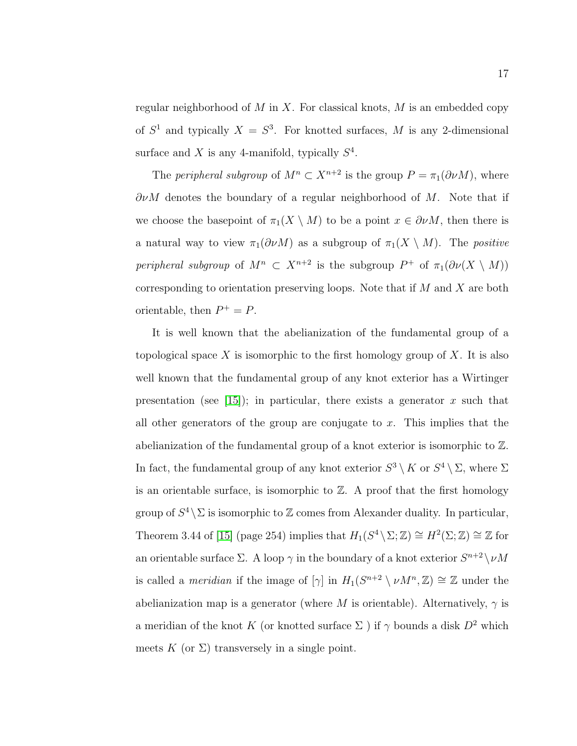regular neighborhood of  $M$  in  $X$ . For classical knots,  $M$  is an embedded copy of  $S^1$  and typically  $X = S^3$ . For knotted surfaces, M is any 2-dimensional surface and X is any 4-manifold, typically  $S^4$ .

The *peripheral subgroup* of  $M^n \subset X^{n+2}$  is the group  $P = \pi_1(\partial \nu M)$ , where  $\partial \nu M$  denotes the boundary of a regular neighborhood of M. Note that if we choose the basepoint of  $\pi_1(X \setminus M)$  to be a point  $x \in \partial \nu M$ , then there is a natural way to view  $\pi_1(\partial \nu M)$  as a subgroup of  $\pi_1(X \setminus M)$ . The *positive* peripheral subgroup of  $M^n \subset X^{n+2}$  is the subgroup  $P^+$  of  $\pi_1(\partial \nu(X \setminus M))$ corresponding to orientation preserving loops. Note that if  $M$  and  $X$  are both orientable, then  $P^+ = P$ .

It is well known that the abelianization of the fundamental group of a topological space X is isomorphic to the first homology group of X. It is also well known that the fundamental group of any knot exterior has a Wirtinger presentation (see [\[15\]](#page-58-0)); in particular, there exists a generator x such that all other generators of the group are conjugate to  $x$ . This implies that the abelianization of the fundamental group of a knot exterior is isomorphic to Z. In fact, the fundamental group of any knot exterior  $S^3 \setminus K$  or  $S^4 \setminus \Sigma$ , where  $\Sigma$ is an orientable surface, is isomorphic to  $\mathbb{Z}$ . A proof that the first homology group of  $S^4 \backslash \Sigma$  is isomorphic to  $\mathbb Z$  comes from Alexander duality. In particular, Theorem 3.44 of [\[15\]](#page-58-0) (page 254) implies that  $H_1(S^4 \setminus \Sigma; \mathbb{Z}) \cong H^2(\Sigma; \mathbb{Z}) \cong \mathbb{Z}$  for an orientable surface  $\Sigma$ . A loop  $\gamma$  in the boundary of a knot exterior  $S^{n+2} \setminus \nu M$ is called a *meridian* if the image of  $[\gamma]$  in  $H_1(S^{n+2} \setminus \nu M^n, \mathbb{Z}) \cong \mathbb{Z}$  under the abelianization map is a generator (where M is orientable). Alternatively,  $\gamma$  is a meridian of the knot K (or knotted surface  $\Sigma$ ) if  $\gamma$  bounds a disk  $D^2$  which meets K (or  $\Sigma$ ) transversely in a single point.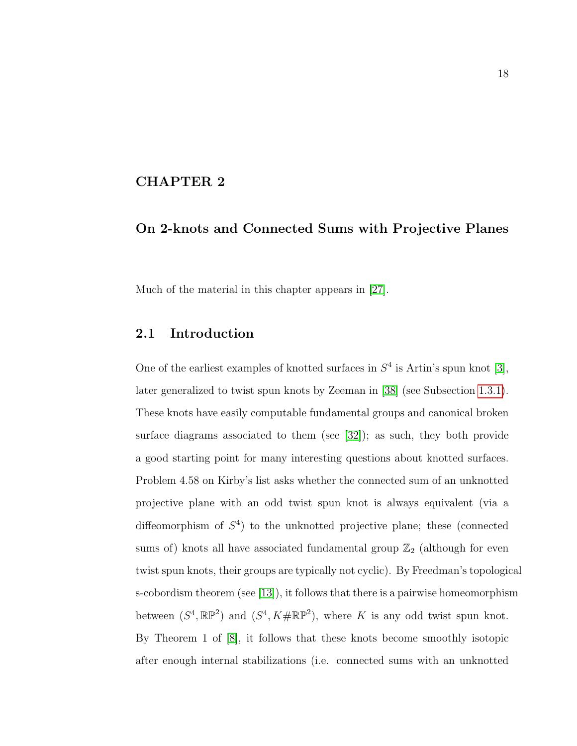#### <span id="page-28-0"></span>CHAPTER 2

### On 2-knots and Connected Sums with Projective Planes

Much of the material in this chapter appears in [\[27\]](#page-60-3).

#### <span id="page-28-1"></span>2.1 Introduction

One of the earliest examples of knotted surfaces in  $S<sup>4</sup>$  is Artin's spun knot [\[3\]](#page-57-3), later generalized to twist spun knots by Zeeman in [\[38\]](#page-61-1) (see Subsection [1.3.1\)](#page-22-1). These knots have easily computable fundamental groups and canonical broken surface diagrams associated to them (see [\[32\]](#page-60-4)); as such, they both provide a good starting point for many interesting questions about knotted surfaces. Problem 4.58 on Kirby's list asks whether the connected sum of an unknotted projective plane with an odd twist spun knot is always equivalent (via a diffeomorphism of  $S<sup>4</sup>$ ) to the unknotted projective plane; these (connected sums of) knots all have associated fundamental group  $\mathbb{Z}_2$  (although for even twist spun knots, their groups are typically not cyclic). By Freedman's topological s-cobordism theorem (see [\[13\]](#page-58-6)), it follows that there is a pairwise homeomorphism between  $(S^4, \mathbb{RP}^2)$  and  $(S^4, K \# \mathbb{RP}^2)$ , where K is any odd twist spun knot. By Theorem 1 of [\[8\]](#page-58-7), it follows that these knots become smoothly isotopic after enough internal stabilizations (i.e. connected sums with an unknotted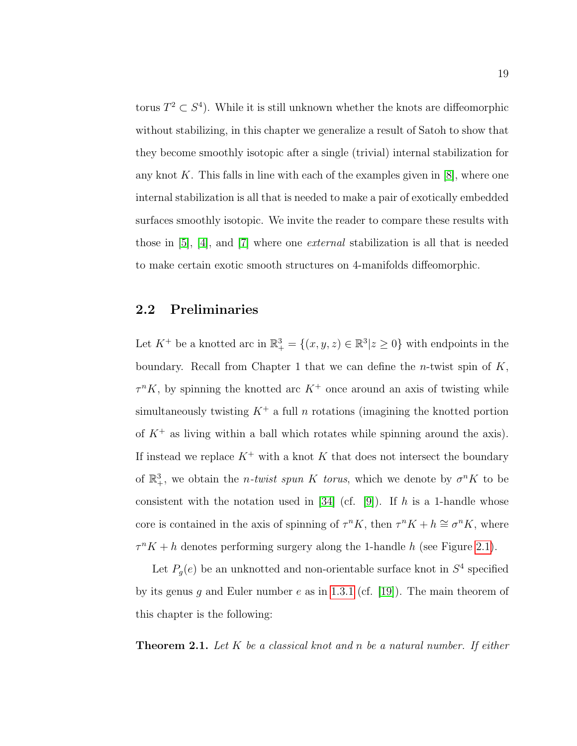torus  $T^2 \subset S^4$ ). While it is still unknown whether the knots are diffeomorphic without stabilizing, in this chapter we generalize a result of Satoh to show that they become smoothly isotopic after a single (trivial) internal stabilization for any knot K. This falls in line with each of the examples given in  $[8]$ , where one internal stabilization is all that is needed to make a pair of exotically embedded surfaces smoothly isotopic. We invite the reader to compare these results with those in [\[5\]](#page-57-4), [\[4\]](#page-57-5), and [\[7\]](#page-57-6) where one external stabilization is all that is needed to make certain exotic smooth structures on 4-manifolds diffeomorphic.

### <span id="page-29-0"></span>2.2 Preliminaries

Let  $K^+$  be a knotted arc in  $\mathbb{R}^3_+ = \{(x, y, z) \in \mathbb{R}^3 | z \geq 0\}$  with endpoints in the boundary. Recall from Chapter 1 that we can define the *n*-twist spin of  $K$ ,  $\tau^n K$ , by spinning the knotted arc  $K^+$  once around an axis of twisting while simultaneously twisting  $K^+$  a full n rotations (imagining the knotted portion of  $K^+$  as living within a ball which rotates while spinning around the axis). If instead we replace  $K^+$  with a knot K that does not intersect the boundary of  $\mathbb{R}^3_+$ , we obtain the *n*-twist spun K torus, which we denote by  $\sigma^n K$  to be consistent with the notation used in [\[34\]](#page-60-5) (cf. [\[9\]](#page-58-8)). If h is a 1-handle whose core is contained in the axis of spinning of  $\tau^n K$ , then  $\tau^n K + h \cong \sigma^n K$ , where  $\tau^n K + h$  denotes performing surgery along the 1-handle h (see Figure [2.1\)](#page-30-1).

Let  $P_g(e)$  be an unknotted and non-orientable surface knot in  $S^4$  specified by its genus g and Euler number e as in [1.3.1](#page-22-1) (cf. [\[19\]](#page-59-1)). The main theorem of this chapter is the following:

<span id="page-29-1"></span>**Theorem 2.1.** Let K be a classical knot and n be a natural number. If either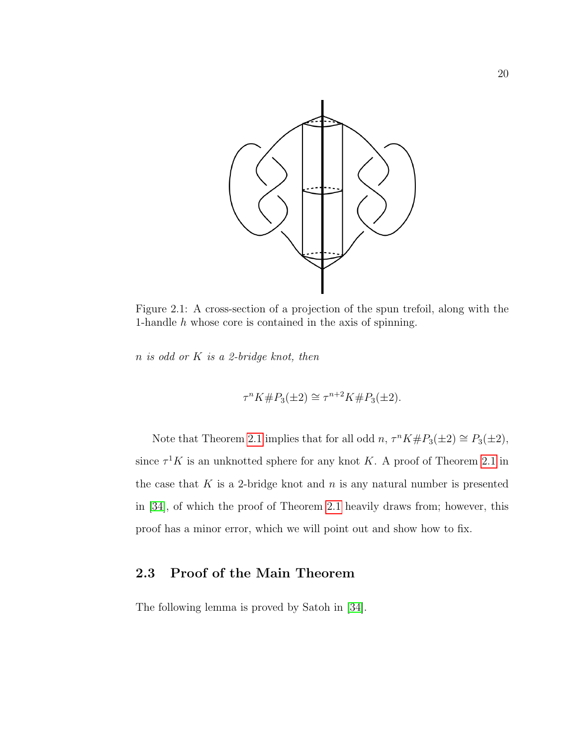<span id="page-30-1"></span>

Figure 2.1: A cross-section of a projection of the spun trefoil, along with the 1-handle h whose core is contained in the axis of spinning.

 $n$  is odd or  $K$  is a 2-bridge knot, then

$$
\tau^{n} K \# P_3(\pm 2) \cong \tau^{n+2} K \# P_3(\pm 2).
$$

Note that Theorem [2.1](#page-29-1) implies that for all odd  $n, \tau^n K \# P_3(\pm 2) \cong P_3(\pm 2)$ , since  $\tau^1 K$  is an unknotted sphere for any knot K. A proof of Theorem [2.1](#page-29-1) in the case that  $K$  is a 2-bridge knot and  $n$  is any natural number is presented in [\[34\]](#page-60-5), of which the proof of Theorem [2.1](#page-29-1) heavily draws from; however, this proof has a minor error, which we will point out and show how to fix.

## <span id="page-30-0"></span>2.3 Proof of the Main Theorem

The following lemma is proved by Satoh in [\[34\]](#page-60-5).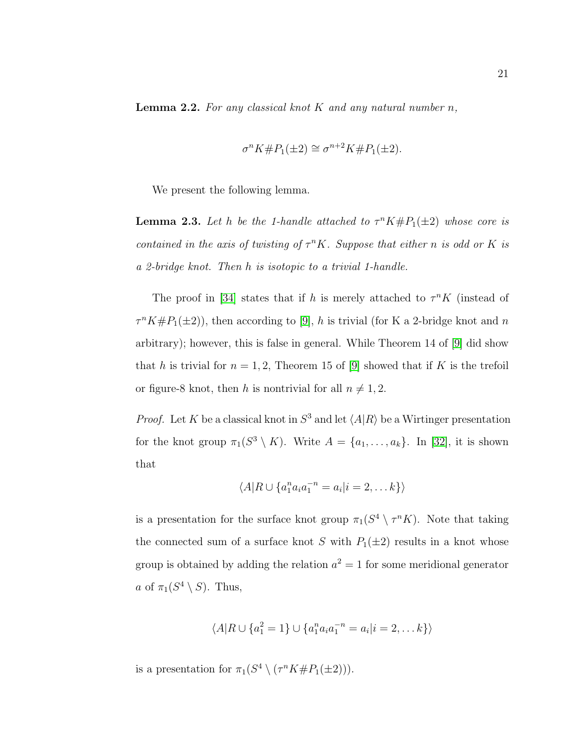<span id="page-31-1"></span>**Lemma 2.2.** For any classical knot  $K$  and any natural number  $n$ ,

$$
\sigma^n K \# P_1(\pm 2) \cong \sigma^{n+2} K \# P_1(\pm 2).
$$

We present the following lemma.

<span id="page-31-0"></span>**Lemma 2.3.** Let h be the 1-handle attached to  $\tau^n K \# P_1(\pm 2)$  whose core is contained in the axis of twisting of  $\tau^n K$ . Suppose that either n is odd or K is a 2-bridge knot. Then h is isotopic to a trivial 1-handle.

The proof in [\[34\]](#page-60-5) states that if h is merely attached to  $\tau^n K$  (instead of  $\tau^n K \# P_1(\pm 2)$ , then according to [\[9\]](#page-58-8), h is trivial (for K a 2-bridge knot and n arbitrary); however, this is false in general. While Theorem 14 of [\[9\]](#page-58-8) did show that h is trivial for  $n = 1, 2$ , Theorem 15 of [\[9\]](#page-58-8) showed that if K is the trefoil or figure-8 knot, then h is nontrivial for all  $n \neq 1, 2$ .

*Proof.* Let K be a classical knot in  $S^3$  and let  $\langle A|R \rangle$  be a Wirtinger presentation for the knot group  $\pi_1(S^3 \setminus K)$ . Write  $A = \{a_1, \ldots, a_k\}$ . In [\[32\]](#page-60-4), it is shown that

$$
\langle A|R \cup \{a_1^n a_i a_1^{-n} = a_i | i = 2, \dots k\}\rangle
$$

is a presentation for the surface knot group  $\pi_1(S^4 \setminus \tau^n K)$ . Note that taking the connected sum of a surface knot S with  $P_1(\pm 2)$  results in a knot whose group is obtained by adding the relation  $a^2 = 1$  for some meridional generator a of  $\pi_1(S^4 \setminus S)$ . Thus,

$$
\langle A|R \cup \{a_1^2 = 1\} \cup \{a_1^n a_i a_1^{-n} = a_i | i = 2, \dots k\}\rangle
$$

is a presentation for  $\pi_1(S^4 \setminus (\tau^n K \# P_1(\pm 2)))$ .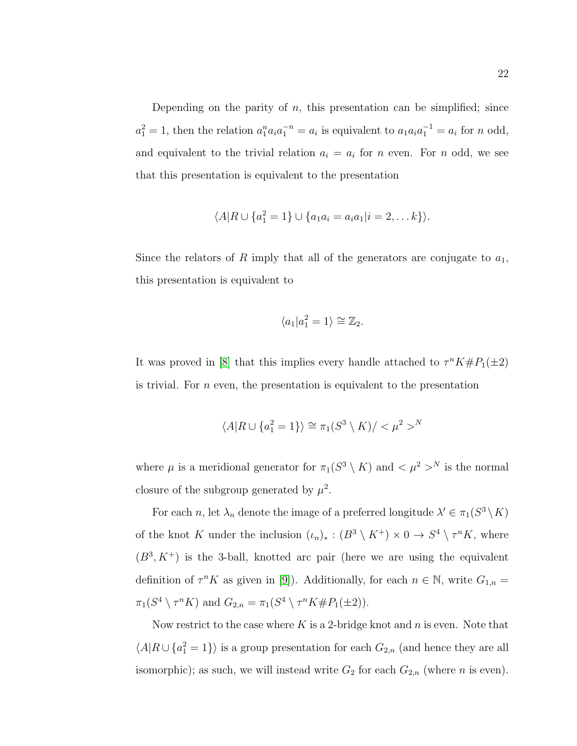Depending on the parity of  $n$ , this presentation can be simplified; since  $a_1^2 = 1$ , then the relation  $a_1^n a_1 a_1^{-n} = a_i$  is equivalent to  $a_1 a_i a_1^{-1} = a_i$  for n odd, and equivalent to the trivial relation  $a_i = a_i$  for n even. For n odd, we see that this presentation is equivalent to the presentation

$$
\langle A|R \cup \{a_1^2 = 1\} \cup \{a_1a_i = a_ia_1|i = 2,\ldots k\}\rangle.
$$

Since the relators of R imply that all of the generators are conjugate to  $a_1$ , this presentation is equivalent to

$$
\langle a_1 | a_1^2 = 1 \rangle \cong \mathbb{Z}_2.
$$

It was proved in [\[8\]](#page-58-7) that this implies every handle attached to  $\tau^n K \# P_1(\pm 2)$ is trivial. For n even, the presentation is equivalent to the presentation

$$
\langle A|R \cup \{a_1^2 = 1\}\rangle \cong \pi_1(S^3 \setminus K) / <\mu^2>
$$

where  $\mu$  is a meridional generator for  $\pi_1(S^3 \setminus K)$  and  $\lt \mu^2 >^N$  is the normal closure of the subgroup generated by  $\mu^2$ .

For each n, let  $\lambda_n$  denote the image of a preferred longitude  $\lambda' \in \pi_1(S^3 \setminus K)$ of the knot K under the inclusion  $(\iota_n)_*: (B^3 \setminus K^+) \times 0 \to S^4 \setminus \tau^n K$ , where  $(B^3, K^+)$  is the 3-ball, knotted arc pair (here we are using the equivalent definition of  $\tau^n K$  as given in [\[9\]](#page-58-8)). Additionally, for each  $n \in \mathbb{N}$ , write  $G_{1,n} =$  $\pi_1(S^4 \setminus \tau^n K)$  and  $G_{2,n} = \pi_1(S^4 \setminus \tau^n K \# P_1(\pm 2)).$ 

Now restrict to the case where  $K$  is a 2-bridge knot and  $n$  is even. Note that  $\langle A|R \cup \{a_1^2=1\}\rangle$  is a group presentation for each  $G_{2,n}$  (and hence they are all isomorphic); as such, we will instead write  $G_2$  for each  $G_{2,n}$  (where n is even).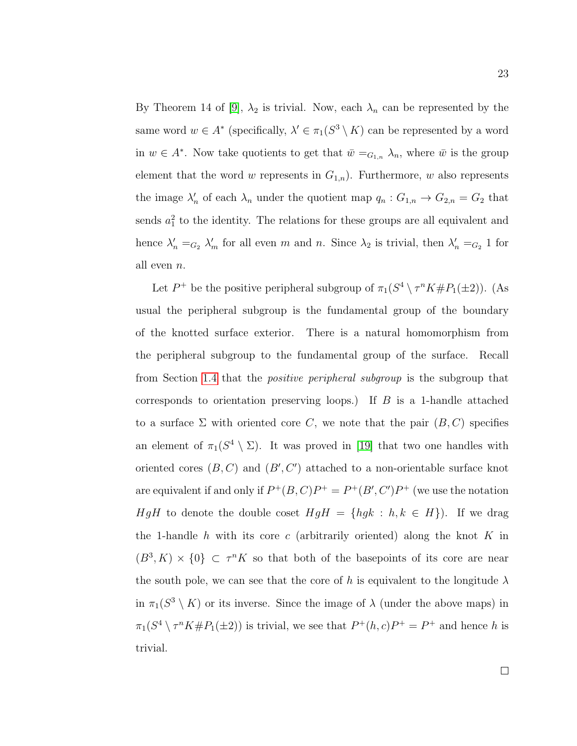By Theorem 14 of [\[9\]](#page-58-8),  $\lambda_2$  is trivial. Now, each  $\lambda_n$  can be represented by the same word  $w \in A^*$  (specifically,  $\lambda' \in \pi_1(S^3 \setminus K)$  can be represented by a word in  $w \in A^*$ . Now take quotients to get that  $\bar{w} =_{G_{1,n}} \lambda_n$ , where  $\bar{w}$  is the group element that the word w represents in  $G_{1,n}$ ). Furthermore, w also represents the image  $\lambda'_n$  of each  $\lambda_n$  under the quotient map  $q_n: G_{1,n} \to G_{2,n} = G_2$  that sends  $a_1^2$  to the identity. The relations for these groups are all equivalent and hence  $\lambda'_n =_{G_2} \lambda'_m$  for all even m and n. Since  $\lambda_2$  is trivial, then  $\lambda'_n =_{G_2} 1$  for all even n.

Let  $P^+$  be the positive peripheral subgroup of  $\pi_1(S^4 \setminus \tau^n K \# P_1(\pm 2))$ . (As usual the peripheral subgroup is the fundamental group of the boundary of the knotted surface exterior. There is a natural homomorphism from the peripheral subgroup to the fundamental group of the surface. Recall from Section [1.4](#page-26-0) that the positive peripheral subgroup is the subgroup that corresponds to orientation preserving loops.) If  $B$  is a 1-handle attached to a surface  $\Sigma$  with oriented core C, we note that the pair  $(B, C)$  specifies an element of  $\pi_1(S^4 \setminus \Sigma)$ . It was proved in [\[19\]](#page-59-1) that two one handles with oriented cores  $(B, C)$  and  $(B', C')$  attached to a non-orientable surface knot are equivalent if and only if  $P^+(B, C)P^+ = P^+(B', C')P^+$  (we use the notation HgH to denote the double coset  $HgH = \{hgk : h, k \in H\}$ . If we drag the 1-handle h with its core c (arbitrarily oriented) along the knot  $K$  in  $(B^3, K) \times \{0\} \subset \tau^n K$  so that both of the basepoints of its core are near the south pole, we can see that the core of h is equivalent to the longitude  $\lambda$ in  $\pi_1(S^3 \setminus K)$  or its inverse. Since the image of  $\lambda$  (under the above maps) in  $\pi_1(S^4 \setminus \tau^n K \# P_1(\pm 2))$  is trivial, we see that  $P^+(h, c)P^+ = P^+$  and hence h is trivial.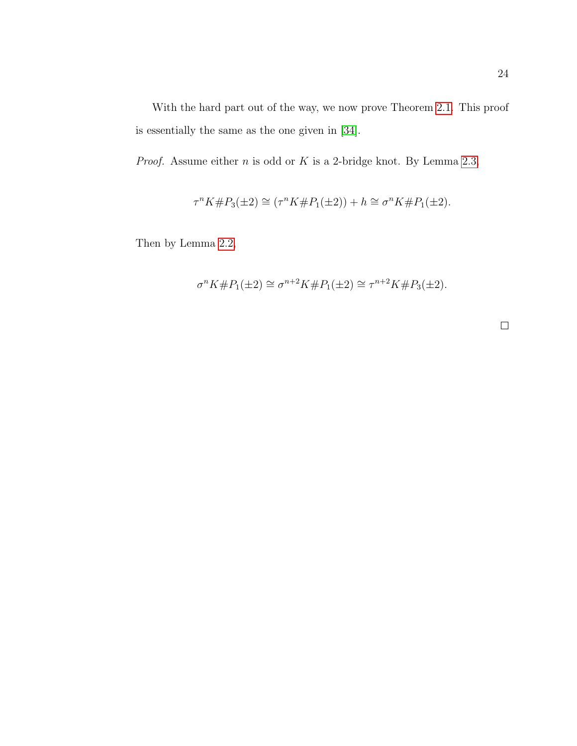With the hard part out of the way, we now prove Theorem [2.1.](#page-29-1) This proof is essentially the same as the one given in [\[34\]](#page-60-5).

*Proof.* Assume either  $n$  is odd or  $K$  is a 2-bridge knot. By Lemma [2.3,](#page-31-0)

$$
\tau^{n} K \# P_3(\pm 2) \cong (\tau^{n} K \# P_1(\pm 2)) + h \cong \sigma^{n} K \# P_1(\pm 2).
$$

Then by Lemma [2.2,](#page-31-1)

$$
\sigma^n K \# P_1(\pm 2) \cong \sigma^{n+2} K \# P_1(\pm 2) \cong \tau^{n+2} K \# P_3(\pm 2).
$$

 $\Box$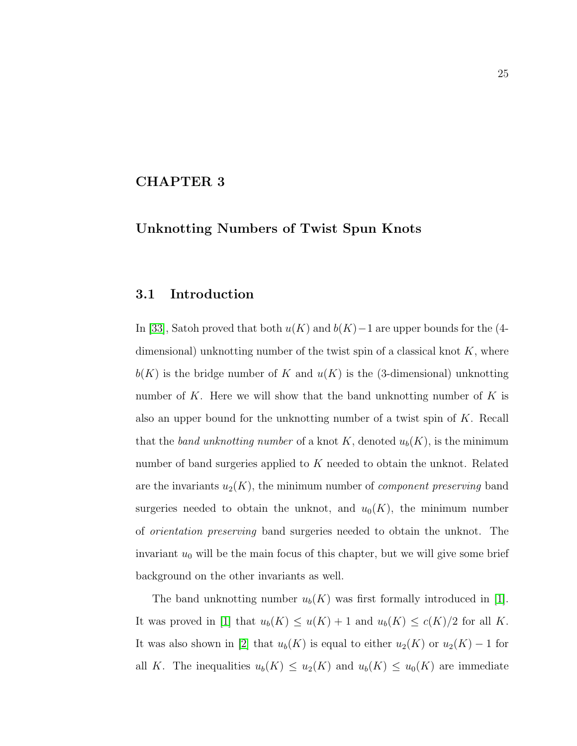#### <span id="page-35-0"></span>CHAPTER 3

## Unknotting Numbers of Twist Spun Knots

### <span id="page-35-1"></span>3.1 Introduction

In [\[33\]](#page-60-6), Satoh proved that both  $u(K)$  and  $b(K)-1$  are upper bounds for the (4dimensional) unknotting number of the twist spin of a classical knot  $K$ , where  $b(K)$  is the bridge number of K and  $u(K)$  is the (3-dimensional) unknotting number of K. Here we will show that the band unknotting number of K is also an upper bound for the unknotting number of a twist spin of  $K$ . Recall that the band unknotting number of a knot K, denoted  $u_b(K)$ , is the minimum number of band surgeries applied to  $K$  needed to obtain the unknot. Related are the invariants  $u_2(K)$ , the minimum number of *component preserving* band surgeries needed to obtain the unknot, and  $u_0(K)$ , the minimum number of orientation preserving band surgeries needed to obtain the unknot. The invariant  $u_0$  will be the main focus of this chapter, but we will give some brief background on the other invariants as well.

The band unknotting number  $u_b(K)$  was first formally introduced in [\[1\]](#page-57-2). It was proved in [\[1\]](#page-57-2) that  $u_b(K) \le u(K) + 1$  and  $u_b(K) \le c(K)/2$  for all K. It was also shown in [\[2\]](#page-57-1) that  $u_b(K)$  is equal to either  $u_2(K)$  or  $u_2(K) - 1$  for all K. The inequalities  $u_b(K) \leq u_2(K)$  and  $u_b(K) \leq u_0(K)$  are immediate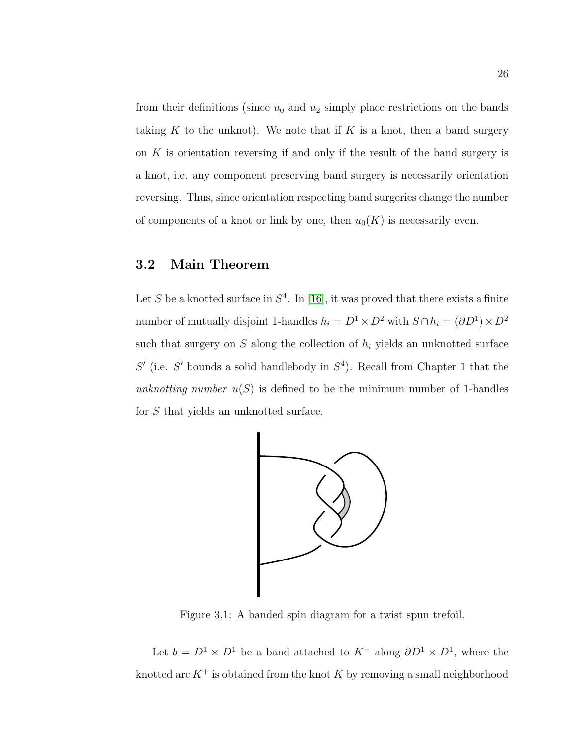from their definitions (since  $u_0$  and  $u_2$  simply place restrictions on the bands taking K to the unknot). We note that if K is a knot, then a band surgery on  $K$  is orientation reversing if and only if the result of the band surgery is a knot, i.e. any component preserving band surgery is necessarily orientation reversing. Thus, since orientation respecting band surgeries change the number of components of a knot or link by one, then  $u_0(K)$  is necessarily even.

## <span id="page-36-0"></span>3.2 Main Theorem

Let S be a knotted surface in  $S<sup>4</sup>$ . In [\[16\]](#page-58-5), it was proved that there exists a finite number of mutually disjoint 1-handles  $h_i = D^1 \times D^2$  with  $S \cap h_i = (\partial D^1) \times D^2$ such that surgery on  $S$  along the collection of  $h_i$  yields an unknotted surface  $S'$  (i.e. S' bounds a solid handlebody in  $S<sup>4</sup>$ ). Recall from Chapter 1 that the unknotting number  $u(S)$  is defined to be the minimum number of 1-handles for S that yields an unknotted surface.

<span id="page-36-1"></span>

Figure 3.1: A banded spin diagram for a twist spun trefoil.

Let  $b = D^1 \times D^1$  be a band attached to  $K^+$  along  $\partial D^1 \times D^1$ , where the knotted arc  $K^+$  is obtained from the knot K by removing a small neighborhood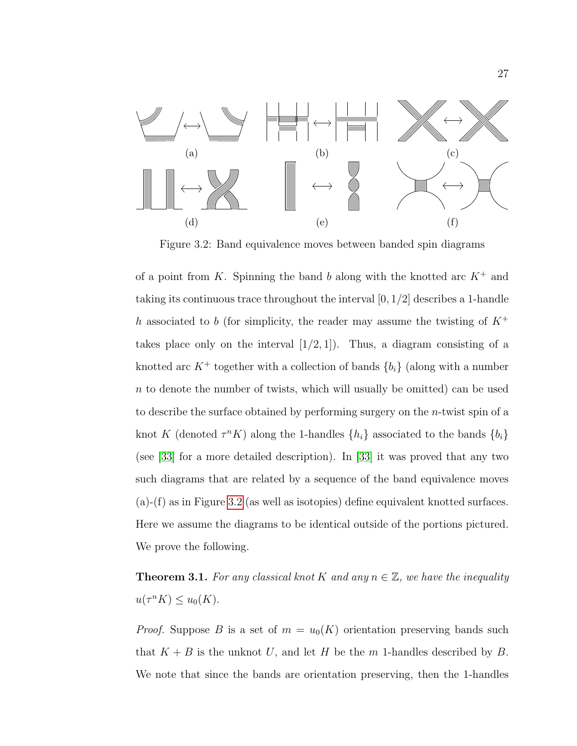<span id="page-37-0"></span>

Figure 3.2: Band equivalence moves between banded spin diagrams

of a point from K. Spinning the band b along with the knotted arc  $K^+$  and taking its continuous trace throughout the interval  $[0, 1/2]$  describes a 1-handle h associated to b (for simplicity, the reader may assume the twisting of  $K^+$ takes place only on the interval  $[1/2, 1]$ ). Thus, a diagram consisting of a knotted arc  $K^+$  together with a collection of bands  $\{b_i\}$  (along with a number n to denote the number of twists, which will usually be omitted) can be used to describe the surface obtained by performing surgery on the n-twist spin of a knot K (denoted  $\tau^n K$ ) along the 1-handles  $\{h_i\}$  associated to the bands  $\{b_i\}$ (see [\[33\]](#page-60-6) for a more detailed description). In [\[33\]](#page-60-6) it was proved that any two such diagrams that are related by a sequence of the band equivalence moves (a)-(f) as in Figure [3.2](#page-37-0) (as well as isotopies) define equivalent knotted surfaces. Here we assume the diagrams to be identical outside of the portions pictured. We prove the following.

**Theorem 3.1.** For any classical knot K and any  $n \in \mathbb{Z}$ , we have the inequality  $u(\tau^n K) \leq u_0(K)$ .

*Proof.* Suppose B is a set of  $m = u_0(K)$  orientation preserving bands such that  $K + B$  is the unknot U, and let H be the m 1-handles described by B. We note that since the bands are orientation preserving, then the 1-handles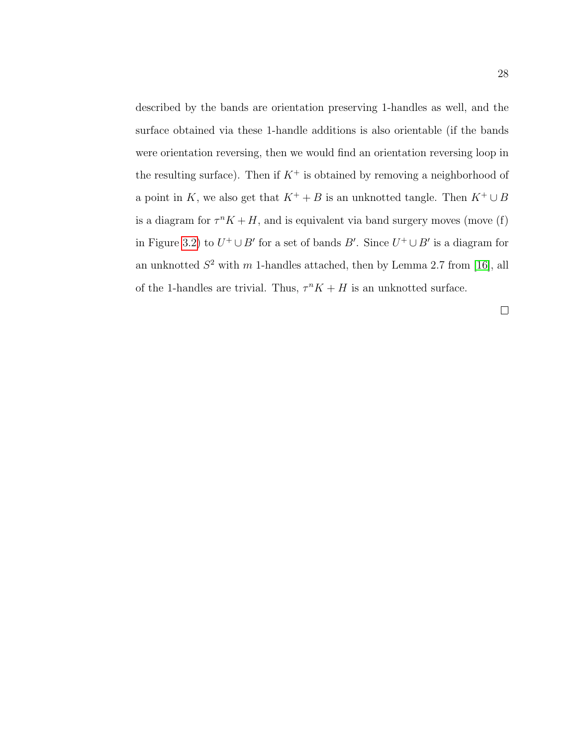described by the bands are orientation preserving 1-handles as well, and the surface obtained via these 1-handle additions is also orientable (if the bands were orientation reversing, then we would find an orientation reversing loop in the resulting surface). Then if  $K^+$  is obtained by removing a neighborhood of a point in K, we also get that  $K^+ + B$  is an unknotted tangle. Then  $K^+ \cup B$ is a diagram for  $\tau^n K + H$ , and is equivalent via band surgery moves (move (f) in Figure [3.2\)](#page-37-0) to  $U^+ \cup B'$  for a set of bands B'. Since  $U^+ \cup B'$  is a diagram for an unknotted  $S^2$  with m 1-handles attached, then by Lemma 2.7 from [\[16\]](#page-58-5), all of the 1-handles are trivial. Thus,  $\tau^n K + H$  is an unknotted surface.

 $\Box$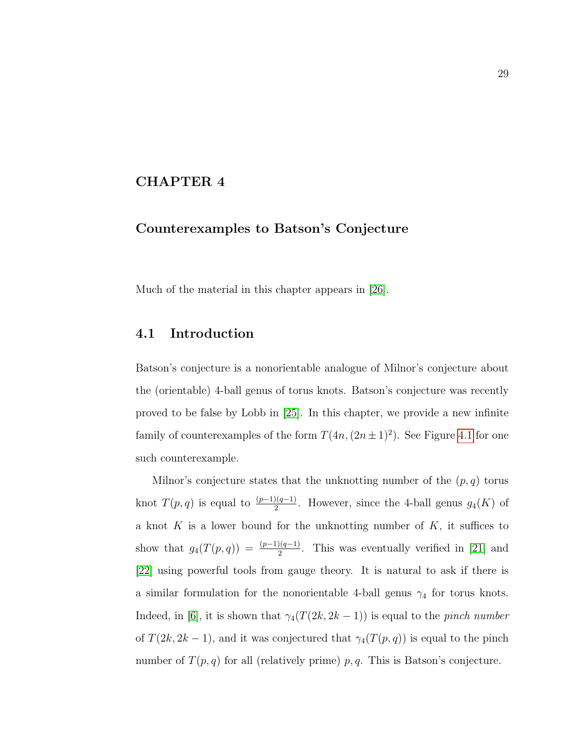#### <span id="page-39-0"></span>CHAPTER 4

#### Counterexamples to Batson's Conjecture

Much of the material in this chapter appears in [\[26\]](#page-59-2).

#### <span id="page-39-1"></span>4.1 Introduction

Batson's conjecture is a nonorientable analogue of Milnor's conjecture about the (orientable) 4-ball genus of torus knots. Batson's conjecture was recently proved to be false by Lobb in [\[25\]](#page-59-3). In this chapter, we provide a new infinite family of counterexamples of the form  $T(4n,(2n\pm1)^2)$ . See Figure [4.1](#page-40-0) for one such counterexample.

Milnor's conjecture states that the unknotting number of the  $(p, q)$  torus knot  $T(p,q)$  is equal to  $\frac{(p-1)(q-1)}{2}$ . However, since the 4-ball genus  $g_4(K)$  of a knot  $K$  is a lower bound for the unknotting number of  $K$ , it suffices to show that  $g_4(T(p,q)) = \frac{(p-1)(q-1)}{2}$ . This was eventually verified in [\[21\]](#page-59-4) and [\[22\]](#page-59-5) using powerful tools from gauge theory. It is natural to ask if there is a similar formulation for the nonorientable 4-ball genus  $\gamma_4$  for torus knots. Indeed, in [\[6\]](#page-57-7), it is shown that  $\gamma_4(T(2k, 2k-1))$  is equal to the *pinch number* of  $T(2k, 2k-1)$ , and it was conjectured that  $\gamma_4(T(p, q))$  is equal to the pinch number of  $T(p, q)$  for all (relatively prime) p, q. This is Batson's conjecture.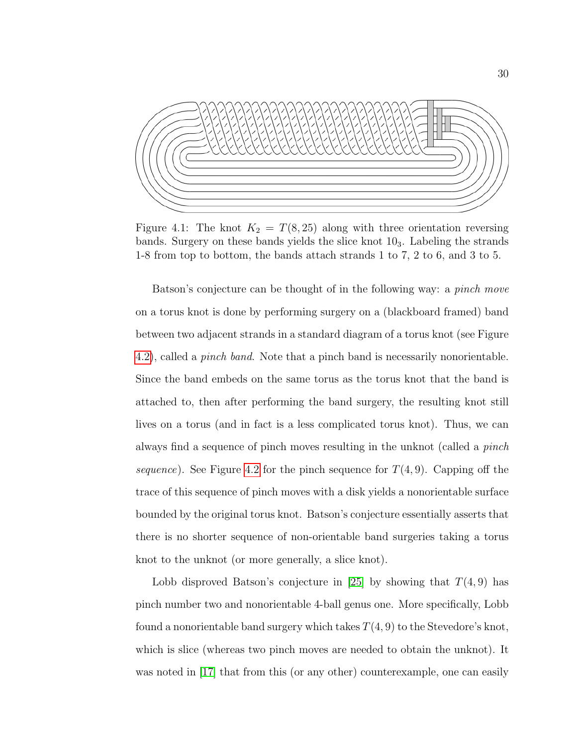<span id="page-40-0"></span>

Figure 4.1: The knot  $K_2 = T(8, 25)$  along with three orientation reversing bands. Surgery on these bands yields the slice knot  $10<sub>3</sub>$ . Labeling the strands 1-8 from top to bottom, the bands attach strands 1 to 7, 2 to 6, and 3 to 5.

Batson's conjecture can be thought of in the following way: a pinch move on a torus knot is done by performing surgery on a (blackboard framed) band between two adjacent strands in a standard diagram of a torus knot (see Figure [4.2\)](#page-41-0), called a pinch band. Note that a pinch band is necessarily nonorientable. Since the band embeds on the same torus as the torus knot that the band is attached to, then after performing the band surgery, the resulting knot still lives on a torus (and in fact is a less complicated torus knot). Thus, we can always find a sequence of pinch moves resulting in the unknot (called a pinch sequence). See Figure [4.2](#page-41-0) for the pinch sequence for  $T(4, 9)$ . Capping off the trace of this sequence of pinch moves with a disk yields a nonorientable surface bounded by the original torus knot. Batson's conjecture essentially asserts that there is no shorter sequence of non-orientable band surgeries taking a torus knot to the unknot (or more generally, a slice knot).

Lobb disproved Batson's conjecture in [\[25\]](#page-59-3) by showing that  $T(4, 9)$  has pinch number two and nonorientable 4-ball genus one. More specifically, Lobb found a nonorientable band surgery which takes  $T(4, 9)$  to the Stevedore's knot, which is slice (whereas two pinch moves are needed to obtain the unknot). It was noted in [\[17\]](#page-59-6) that from this (or any other) counterexample, one can easily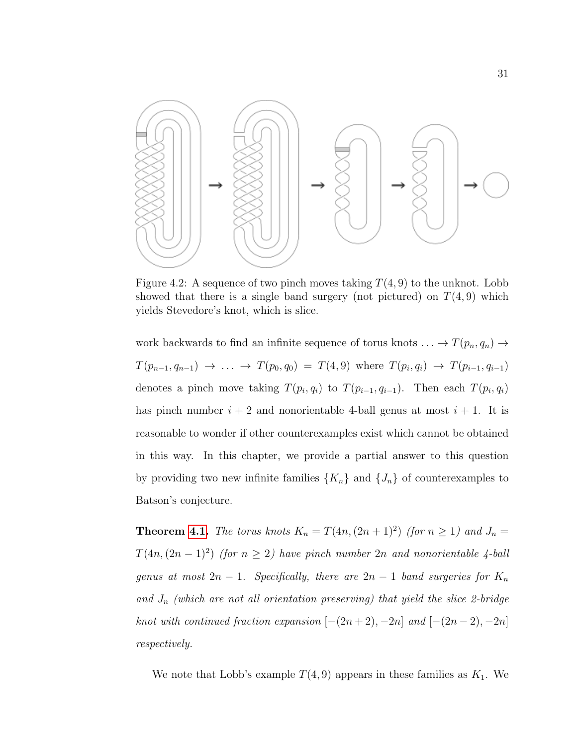<span id="page-41-0"></span>

Figure 4.2: A sequence of two pinch moves taking  $T(4, 9)$  to the unknot. Lobb showed that there is a single band surgery (not pictured) on  $T(4, 9)$  which yields Stevedore's knot, which is slice.

work backwards to find an infinite sequence of torus knots  $\ldots \to T(p_n, q_n) \to$  $T(p_{n-1}, q_{n-1}) \rightarrow \ldots \rightarrow T(p_0, q_0) = T(4, 9)$  where  $T(p_i, q_i) \rightarrow T(p_{i-1}, q_{i-1})$ denotes a pinch move taking  $T(p_i, q_i)$  to  $T(p_{i-1}, q_{i-1})$ . Then each  $T(p_i, q_i)$ has pinch number  $i + 2$  and nonorientable 4-ball genus at most  $i + 1$ . It is reasonable to wonder if other counterexamples exist which cannot be obtained in this way. In this chapter, we provide a partial answer to this question by providing two new infinite families  $\{K_n\}$  and  $\{J_n\}$  of counterexamples to Batson's conjecture.

**Theorem [4.1.](#page-44-1)** The torus knots  $K_n = T(4n, (2n + 1)^2)$  (for  $n \ge 1$ ) and  $J_n =$  $T(4n,(2n-1)^2)$  (for  $n \geq 2$ ) have pinch number 2n and nonorientable 4-ball genus at most  $2n - 1$ . Specifically, there are  $2n - 1$  band surgeries for  $K_n$ and  $J_n$  (which are not all orientation preserving) that yield the slice 2-bridge knot with continued fraction expansion  $[-(2n+2), -2n]$  and  $[-(2n-2), -2n]$ respectively.

We note that Lobb's example  $T(4, 9)$  appears in these families as  $K_1$ . We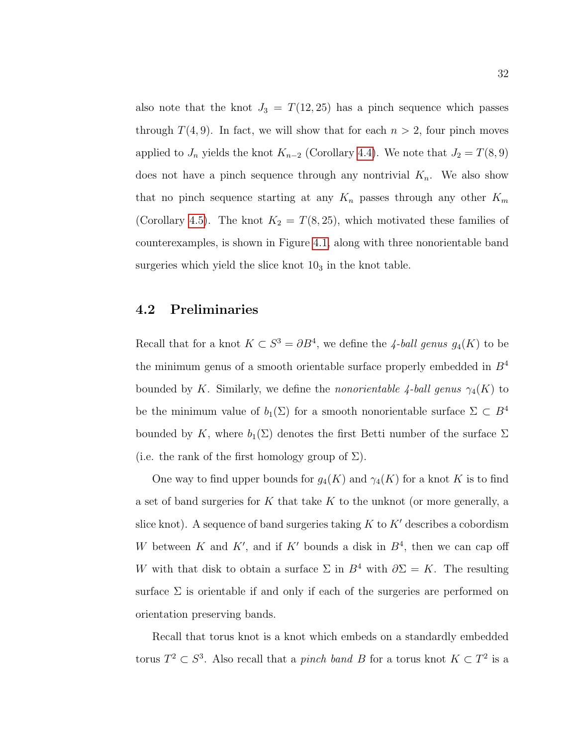also note that the knot  $J_3 = T(12, 25)$  has a pinch sequence which passes through  $T(4, 9)$ . In fact, we will show that for each  $n > 2$ , four pinch moves applied to  $J_n$  yields the knot  $K_{n-2}$  (Corollary [4.4\)](#page-48-0). We note that  $J_2 = T(8, 9)$ does not have a pinch sequence through any nontrivial  $K_n$ . We also show that no pinch sequence starting at any  $K_n$  passes through any other  $K_m$ (Corollary [4.5\)](#page-48-1). The knot  $K_2 = T(8, 25)$ , which motivated these families of counterexamples, is shown in Figure [4.1,](#page-40-0) along with three nonorientable band surgeries which yield the slice knot  $10<sub>3</sub>$  in the knot table.

### <span id="page-42-0"></span>4.2 Preliminaries

Recall that for a knot  $K \subset S^3 = \partial B^4$ , we define the 4-ball genus  $g_4(K)$  to be the minimum genus of a smooth orientable surface properly embedded in  $B<sup>4</sup>$ bounded by K. Similarly, we define the *nonorientable 4-ball genus*  $\gamma_4(K)$  to be the minimum value of  $b_1(\Sigma)$  for a smooth nonorientable surface  $\Sigma \subset B^4$ bounded by K, where  $b_1(\Sigma)$  denotes the first Betti number of the surface  $\Sigma$ (i.e. the rank of the first homology group of  $\Sigma$ ).

One way to find upper bounds for  $g_4(K)$  and  $\gamma_4(K)$  for a knot K is to find a set of band surgeries for  $K$  that take  $K$  to the unknot (or more generally, a slice knot). A sequence of band surgeries taking  $K$  to  $K'$  describes a cobordism W between K and K', and if K' bounds a disk in  $B<sup>4</sup>$ , then we can cap off W with that disk to obtain a surface  $\Sigma$  in  $B^4$  with  $\partial \Sigma = K$ . The resulting surface  $\Sigma$  is orientable if and only if each of the surgeries are performed on orientation preserving bands.

Recall that torus knot is a knot which embeds on a standardly embedded torus  $T^2 \subset S^3$ . Also recall that a *pinch band B* for a torus knot  $K \subset T^2$  is a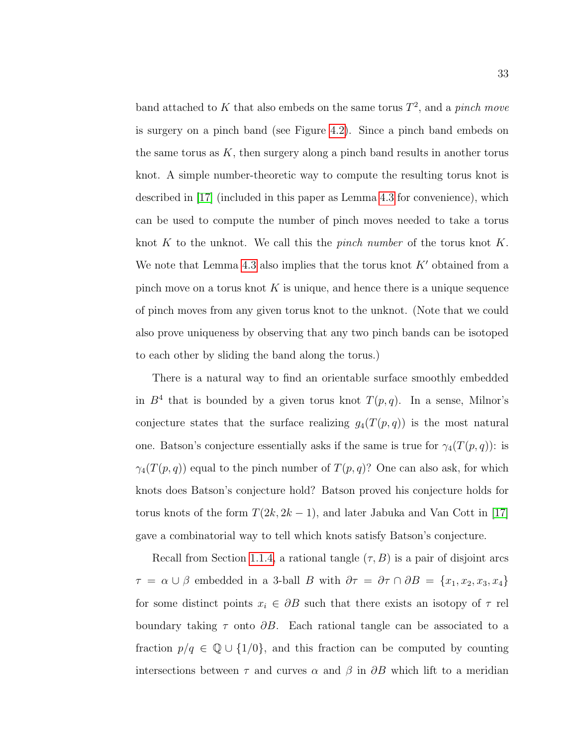band attached to K that also embeds on the same torus  $T^2$ , and a pinch move is surgery on a pinch band (see Figure [4.2\)](#page-41-0). Since a pinch band embeds on the same torus as  $K$ , then surgery along a pinch band results in another torus knot. A simple number-theoretic way to compute the resulting torus knot is described in [\[17\]](#page-59-6) (included in this paper as Lemma [4.3](#page-44-2) for convenience), which can be used to compute the number of pinch moves needed to take a torus knot  $K$  to the unknot. We call this the *pinch number* of the torus knot  $K$ . We note that Lemma [4.3](#page-44-2) also implies that the torus knot  $K'$  obtained from a pinch move on a torus knot  $K$  is unique, and hence there is a unique sequence of pinch moves from any given torus knot to the unknot. (Note that we could also prove uniqueness by observing that any two pinch bands can be isotoped to each other by sliding the band along the torus.)

There is a natural way to find an orientable surface smoothly embedded in  $B<sup>4</sup>$  that is bounded by a given torus knot  $T(p,q)$ . In a sense, Milnor's conjecture states that the surface realizing  $g_4(T(p,q))$  is the most natural one. Batson's conjecture essentially asks if the same is true for  $\gamma_4(T(p,q))$ : is  $\gamma_4(T(p,q))$  equal to the pinch number of  $T(p,q)$ ? One can also ask, for which knots does Batson's conjecture hold? Batson proved his conjecture holds for torus knots of the form  $T(2k, 2k-1)$ , and later Jabuka and Van Cott in [\[17\]](#page-59-6) gave a combinatorial way to tell which knots satisfy Batson's conjecture.

Recall from Section [1.1.4,](#page-15-1) a rational tangle  $(\tau, B)$  is a pair of disjoint arcs  $\tau = \alpha \cup \beta$  embedded in a 3-ball B with  $\partial \tau = \partial \tau \cap \partial B = \{x_1, x_2, x_3, x_4\}$ for some distinct points  $x_i \in \partial B$  such that there exists an isotopy of  $\tau$  rel boundary taking  $\tau$  onto  $\partial B$ . Each rational tangle can be associated to a fraction  $p/q \in \mathbb{Q} \cup \{1/0\}$ , and this fraction can be computed by counting intersections between  $\tau$  and curves  $\alpha$  and  $\beta$  in  $\partial B$  which lift to a meridian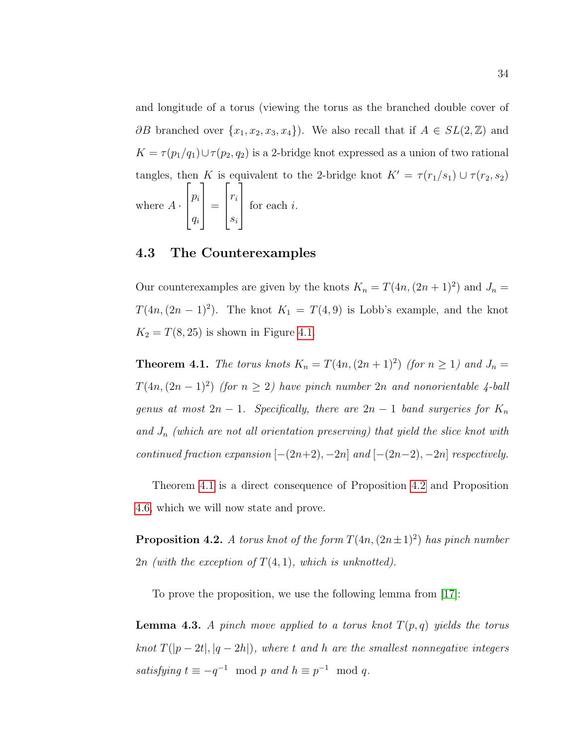and longitude of a torus (viewing the torus as the branched double cover of  $\partial B$  branched over  $\{x_1, x_2, x_3, x_4\}$ . We also recall that if  $A \in SL(2, \mathbb{Z})$  and  $K = \tau(p_1/q_1) \cup \tau(p_2, q_2)$  is a 2-bridge knot expressed as a union of two rational tangles, then K is equivalent to the 2-bridge knot  $K' = \tau (r_1/s_1) \cup \tau (r_2, s_2)$ where  $A \cdot$  $\sqrt{ }$  $\left| \right|$  $p_i$ qi 1  $\Bigg| =$  $\sqrt{ }$  $\vert$ ri si 1  $\left| \right|$ for each i.

#### <span id="page-44-0"></span>4.3 The Counterexamples

Our counterexamples are given by the knots  $K_n = T(4n,(2n+1)^2)$  and  $J_n =$  $T(4n,(2n-1)^2)$ . The knot  $K_1 = T(4,9)$  is Lobb's example, and the knot  $K_2 = T(8, 25)$  is shown in Figure [4.1.](#page-40-0)

<span id="page-44-1"></span>**Theorem 4.1.** The torus knots  $K_n = T(4n, (2n + 1)^2)$  (for  $n \ge 1$ ) and  $J_n =$  $T(4n,(2n-1)^2)$  (for  $n \geq 2$ ) have pinch number 2n and nonorientable 4-ball genus at most  $2n - 1$ . Specifically, there are  $2n - 1$  band surgeries for  $K_n$ and  $J_n$  (which are not all orientation preserving) that yield the slice knot with continued fraction expansion  $[-(2n+2), -2n]$  and  $[-(2n-2), -2n]$  respectively.

Theorem [4.1](#page-44-1) is a direct consequence of Proposition [4.2](#page-44-3) and Proposition [4.6,](#page-50-1) which we will now state and prove.

<span id="page-44-3"></span>**Proposition 4.2.** A torus knot of the form  $T(4n,(2n\pm 1)^2)$  has pinch number 2n (with the exception of  $T(4, 1)$ , which is unknotted).

To prove the proposition, we use the following lemma from [\[17\]](#page-59-6):

<span id="page-44-2"></span>**Lemma 4.3.** A pinch move applied to a torus knot  $T(p,q)$  yields the torus knot  $T(|p-2t|, |q-2h|)$ , where t and h are the smallest nonnegative integers satisfying  $t \equiv -q^{-1} \mod p$  and  $h \equiv p^{-1} \mod q$ .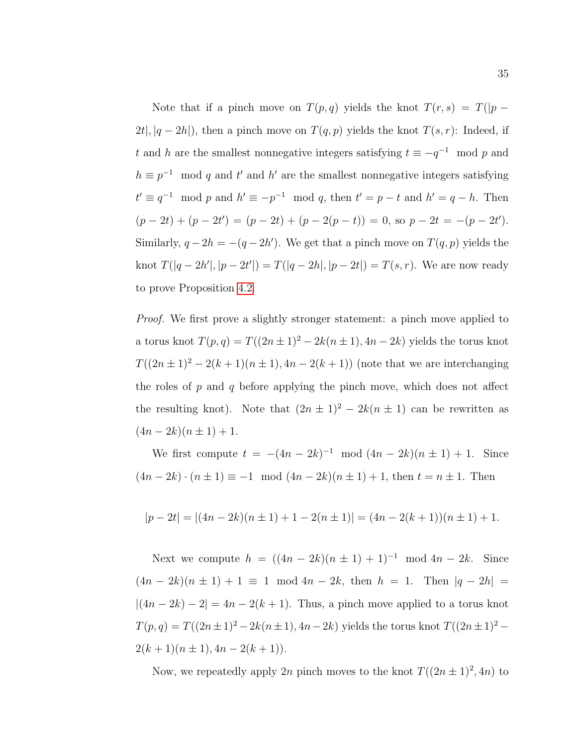Note that if a pinch move on  $T(p,q)$  yields the knot  $T(r,s) = T(|p - p|)$  $2t|, |q-2h|$ , then a pinch move on  $T(q, p)$  yields the knot  $T(s, r)$ : Indeed, if t and h are the smallest nonnegative integers satisfying  $t \equiv -q^{-1} \mod p$  and  $h \equiv p^{-1} \mod q$  and t' and h' are the smallest nonnegative integers satisfying  $t' \equiv q^{-1} \mod p$  and  $h' \equiv -p^{-1} \mod q$ , then  $t' = p - t$  and  $h' = q - h$ . Then  $(p-2t) + (p-2t') = (p-2t) + (p-2(p-t)) = 0$ , so  $p-2t = -(p-2t')$ . Similarly,  $q - 2h = -(q - 2h')$ . We get that a pinch move on  $T(q, p)$  yields the knot  $T(|q-2h'|, |p-2t'|) = T(|q-2h|, |p-2t|) = T(s, r)$ . We are now ready to prove Proposition [4.2.](#page-44-3)

*Proof.* We first prove a slightly stronger statement: a pinch move applied to a torus knot  $T(p,q) = T((2n \pm 1)^2 - 2k(n \pm 1), 4n - 2k)$  yields the torus knot  $T((2n \pm 1)^2 - 2(k+1)(n \pm 1), 4n - 2(k+1))$  (note that we are interchanging the roles of  $p$  and  $q$  before applying the pinch move, which does not affect the resulting knot). Note that  $(2n \pm 1)^2 - 2k(n \pm 1)$  can be rewritten as  $(4n-2k)(n\pm 1)+1.$ 

We first compute  $t = -(4n - 2k)^{-1} \mod (4n - 2k)(n \pm 1) + 1$ . Since  $(4n - 2k) \cdot (n \pm 1) \equiv -1 \mod (4n - 2k)(n \pm 1) + 1$ , then  $t = n \pm 1$ . Then

$$
|p - 2t| = |(4n - 2k)(n \pm 1) + 1 - 2(n \pm 1)| = (4n - 2(k + 1))(n \pm 1) + 1.
$$

Next we compute  $h = ((4n - 2k)(n \pm 1) + 1)^{-1} \mod 4n - 2k$ . Since  $(4n - 2k)(n \pm 1) + 1 \equiv 1 \mod 4n - 2k$ , then  $h = 1$ . Then  $|q - 2h|$  $|(4n-2k)-2|=4n-2(k+1)$ . Thus, a pinch move applied to a torus knot  $T(p, q) = T((2n \pm 1)^2 - 2k(n \pm 1), 4n - 2k)$  yields the torus knot  $T((2n \pm 1)^2 - 2k(n \pm 1))$  $2(k + 1)(n \pm 1), 4n - 2(k + 1)).$ 

Now, we repeatedly apply 2n pinch moves to the knot  $T((2n \pm 1)^2, 4n)$  to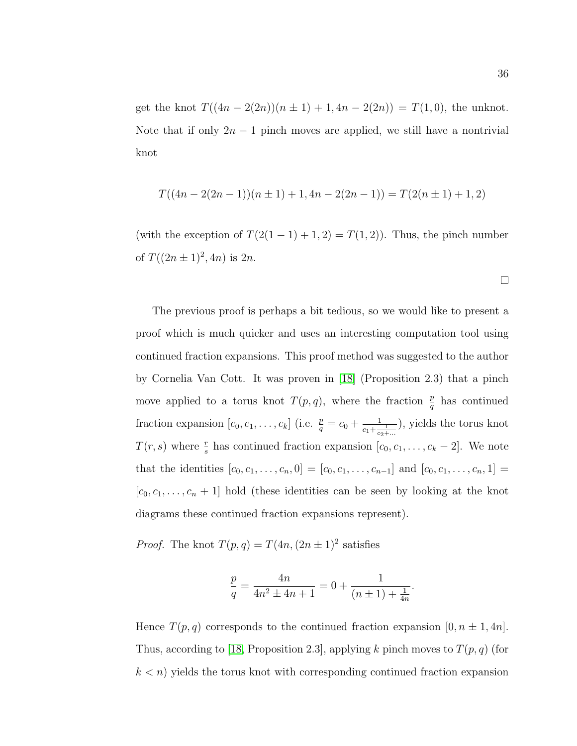get the knot  $T((4n - 2(2n))(n \pm 1) + 1, 4n - 2(2n)) = T(1, 0)$ , the unknot. Note that if only  $2n - 1$  pinch moves are applied, we still have a nontrivial knot

$$
T((4n - 2(2n - 1))(n \pm 1) + 1, 4n - 2(2n - 1)) = T(2(n \pm 1) + 1, 2)
$$

(with the exception of  $T(2(1 - 1) + 1, 2) = T(1, 2)$ ). Thus, the pinch number of  $T((2n \pm 1)^2, 4n)$  is  $2n$ .

The previous proof is perhaps a bit tedious, so we would like to present a proof which is much quicker and uses an interesting computation tool using continued fraction expansions. This proof method was suggested to the author by Cornelia Van Cott. It was proven in [\[18\]](#page-59-7) (Proposition 2.3) that a pinch move applied to a torus knot  $T(p,q)$ , where the fraction  $\frac{p}{q}$  has continued fraction expansion  $[c_0, c_1, \ldots, c_k]$  (i.e.  $\frac{p}{q} = c_0 + \frac{1}{c_1 + \frac{1}{c_2 + \ldots}}$ ), yields the torus knot  $T(r, s)$  where  $\frac{r}{s}$  has continued fraction expansion  $[c_0, c_1, \ldots, c_k - 2]$ . We note that the identities  $[c_0, c_1, \ldots, c_n, 0] = [c_0, c_1, \ldots, c_{n-1}]$  and  $[c_0, c_1, \ldots, c_n, 1] =$  $[c_0, c_1, \ldots, c_n + 1]$  hold (these identities can be seen by looking at the knot diagrams these continued fraction expansions represent).

*Proof.* The knot  $T(p,q) = T(4n,(2n \pm 1)^2)$  satisfies

$$
\frac{p}{q} = \frac{4n}{4n^2 \pm 4n + 1} = 0 + \frac{1}{(n \pm 1) + \frac{1}{4n}}.
$$

Hence  $T(p,q)$  corresponds to the continued fraction expansion  $[0, n \pm 1, 4n]$ . Thus, according to [\[18,](#page-59-7) Proposition 2.3], applying k pinch moves to  $T(p, q)$  (for  $k < n$ ) yields the torus knot with corresponding continued fraction expansion

 $\Box$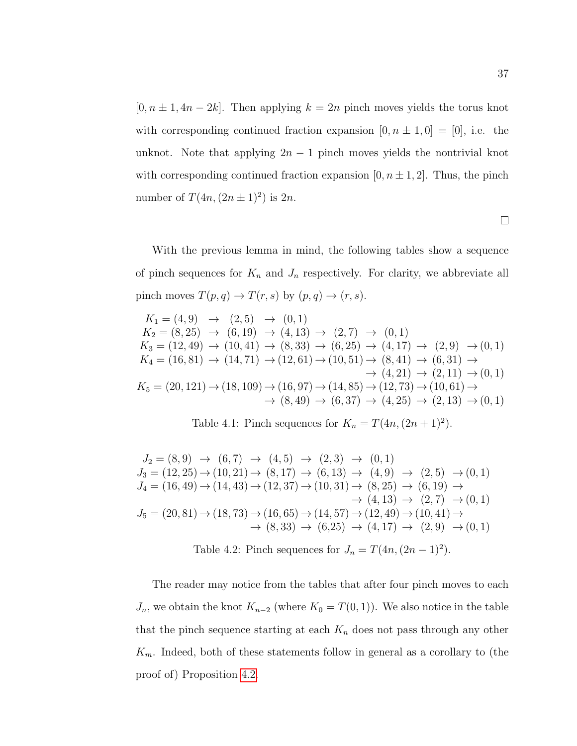$[0, n \pm 1, 4n - 2k]$ . Then applying  $k = 2n$  pinch moves yields the torus knot with corresponding continued fraction expansion  $[0, n \pm 1, 0] = [0]$ , i.e. the unknot. Note that applying  $2n - 1$  pinch moves yields the nontrivial knot with corresponding continued fraction expansion  $[0, n \pm 1, 2]$ . Thus, the pinch number of  $T(4n,(2n\pm 1)^2)$  is  $2n$ .

With the previous lemma in mind, the following tables show a sequence of pinch sequences for  $K_n$  and  $J_n$  respectively. For clarity, we abbreviate all pinch moves  $T(p,q) \to T(r,s)$  by  $(p,q) \to (r,s)$ .

<span id="page-47-0"></span>
$$
K_1 = (4, 9) \rightarrow (2, 5) \rightarrow (0, 1)
$$
  
\n
$$
K_2 = (8, 25) \rightarrow (6, 19) \rightarrow (4, 13) \rightarrow (2, 7) \rightarrow (0, 1)
$$
  
\n
$$
K_3 = (12, 49) \rightarrow (10, 41) \rightarrow (8, 33) \rightarrow (6, 25) \rightarrow (4, 17) \rightarrow (2, 9) \rightarrow (0, 1)
$$
  
\n
$$
K_4 = (16, 81) \rightarrow (14, 71) \rightarrow (12, 61) \rightarrow (10, 51) \rightarrow (8, 41) \rightarrow (6, 31) \rightarrow
$$
  
\n
$$
\rightarrow (4, 21) \rightarrow (2, 11) \rightarrow (0, 1)
$$
  
\n
$$
K_5 = (20, 121) \rightarrow (18, 109) \rightarrow (16, 97) \rightarrow (14, 85) \rightarrow (12, 73) \rightarrow (10, 61) \rightarrow
$$
  
\n
$$
\rightarrow (8, 49) \rightarrow (6, 37) \rightarrow (4, 25) \rightarrow (2, 13) \rightarrow (0, 1)
$$

Table 4.1: Pinch sequences for  $K_n = T(4n, (2n + 1)^2)$ .

<span id="page-47-1"></span>
$$
J_2 = (8,9) \rightarrow (6,7) \rightarrow (4,5) \rightarrow (2,3) \rightarrow (0,1)
$$
  
\n
$$
J_3 = (12,25) \rightarrow (10,21) \rightarrow (8,17) \rightarrow (6,13) \rightarrow (4,9) \rightarrow (2,5) \rightarrow (0,1)
$$
  
\n
$$
J_4 = (16,49) \rightarrow (14,43) \rightarrow (12,37) \rightarrow (10,31) \rightarrow (8,25) \rightarrow (6,19) \rightarrow
$$
  
\n
$$
\rightarrow (4,13) \rightarrow (2,7) \rightarrow (0,1)
$$
  
\n
$$
J_5 = (20,81) \rightarrow (18,73) \rightarrow (16,65) \rightarrow (14,57) \rightarrow (12,49) \rightarrow (10,41) \rightarrow
$$
  
\n
$$
\rightarrow (8,33) \rightarrow (6,25) \rightarrow (4,17) \rightarrow (2,9) \rightarrow (0,1)
$$

Table 4.2: Pinch sequences for  $J_n = T(4n,(2n-1)^2)$ .

The reader may notice from the tables that after four pinch moves to each  $J_n$ , we obtain the knot  $K_{n-2}$  (where  $K_0 = T(0, 1)$ ). We also notice in the table that the pinch sequence starting at each  $K_n$  does not pass through any other  $K_m$ . Indeed, both of these statements follow in general as a corollary to (the proof of) Proposition [4.2.](#page-44-3)

 $\Box$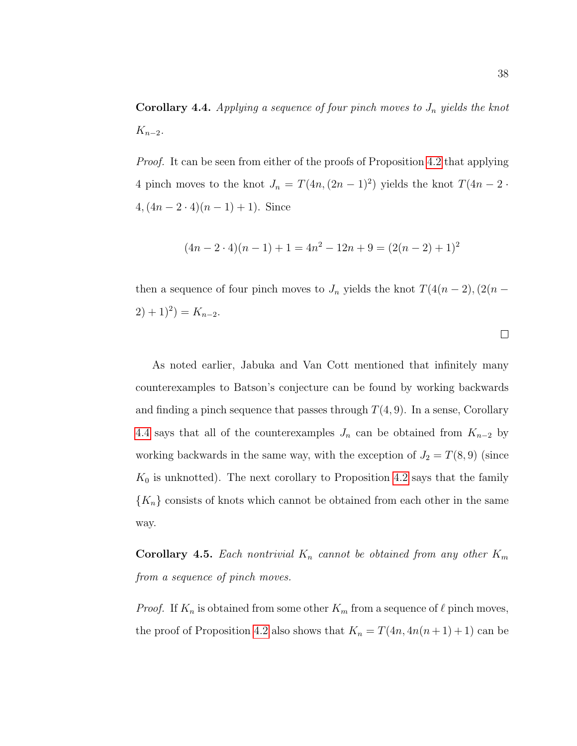<span id="page-48-0"></span>**Corollary 4.4.** Applying a sequence of four pinch moves to  $J_n$  yields the knot  $K_{n-2}$ .

*Proof.* It can be seen from either of the proofs of Proposition [4.2](#page-44-3) that applying 4 pinch moves to the knot  $J_n = T(4n,(2n-1)^2)$  yields the knot  $T(4n-2 \cdot$  $4, (4n - 2 \cdot 4)(n - 1) + 1$ ). Since

$$
(4n - 2 \cdot 4)(n - 1) + 1 = 4n^2 - 12n + 9 = (2(n - 2) + 1)^2
$$

then a sequence of four pinch moves to  $J_n$  yields the knot  $T(4(n-2), (2(n-2))$  $(2) + 1)^2$  =  $K_{n-2}$ .

 $\Box$ 

As noted earlier, Jabuka and Van Cott mentioned that infinitely many counterexamples to Batson's conjecture can be found by working backwards and finding a pinch sequence that passes through  $T(4, 9)$ . In a sense, Corollary [4.4](#page-48-0) says that all of the counterexamples  $J_n$  can be obtained from  $K_{n-2}$  by working backwards in the same way, with the exception of  $J_2 = T(8, 9)$  (since  $K_0$  is unknotted). The next corollary to Proposition [4.2](#page-44-3) says that the family  ${K_n}$  consists of knots which cannot be obtained from each other in the same way.

<span id="page-48-1"></span>**Corollary 4.5.** Each nontrivial  $K_n$  cannot be obtained from any other  $K_m$ from a sequence of pinch moves.

*Proof.* If  $K_n$  is obtained from some other  $K_m$  from a sequence of  $\ell$  pinch moves, the proof of Proposition [4.2](#page-44-3) also shows that  $K_n = T(4n, 4n(n+1)+1)$  can be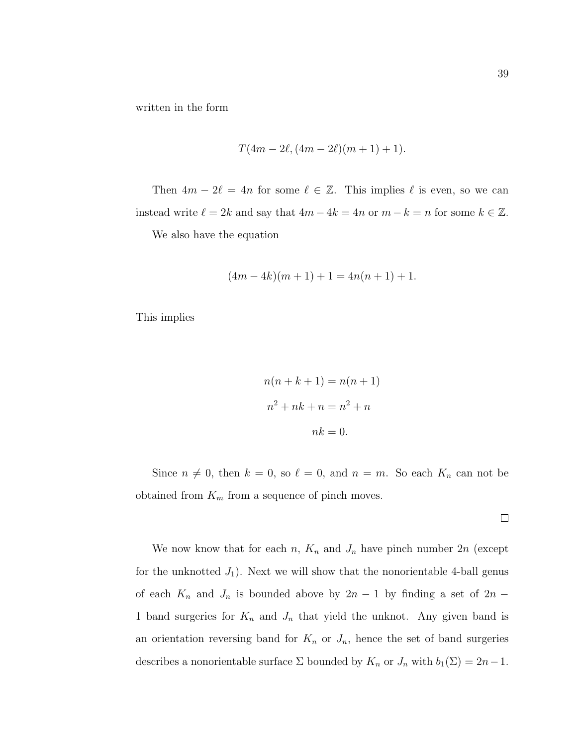written in the form

$$
T(4m-2\ell, (4m-2\ell)(m+1)+1).
$$

Then  $4m - 2\ell = 4n$  for some  $\ell \in \mathbb{Z}$ . This implies  $\ell$  is even, so we can instead write  $\ell = 2k$  and say that  $4m - 4k = 4n$  or  $m - k = n$  for some  $k \in \mathbb{Z}$ .

We also have the equation

$$
(4m - 4k)(m + 1) + 1 = 4n(n + 1) + 1.
$$

This implies

$$
n(n + k + 1) = n(n + 1)
$$

$$
n2 + nk + n = n2 + n
$$

$$
nk = 0.
$$

Since  $n \neq 0$ , then  $k = 0$ , so  $\ell = 0$ , and  $n = m$ . So each  $K_n$  can not be obtained from  $K_m$  from a sequence of pinch moves.

 $\Box$ 

We now know that for each n,  $K_n$  and  $J_n$  have pinch number  $2n$  (except for the unknotted  $J_1$ ). Next we will show that the nonorientable 4-ball genus of each  $K_n$  and  $J_n$  is bounded above by  $2n-1$  by finding a set of  $2n-1$ 1 band surgeries for  $K_n$  and  $J_n$  that yield the unknot. Any given band is an orientation reversing band for  $K_n$  or  $J_n$ , hence the set of band surgeries describes a nonorientable surface  $\Sigma$  bounded by  $K_n$  or  $J_n$  with  $b_1(\Sigma) = 2n-1$ .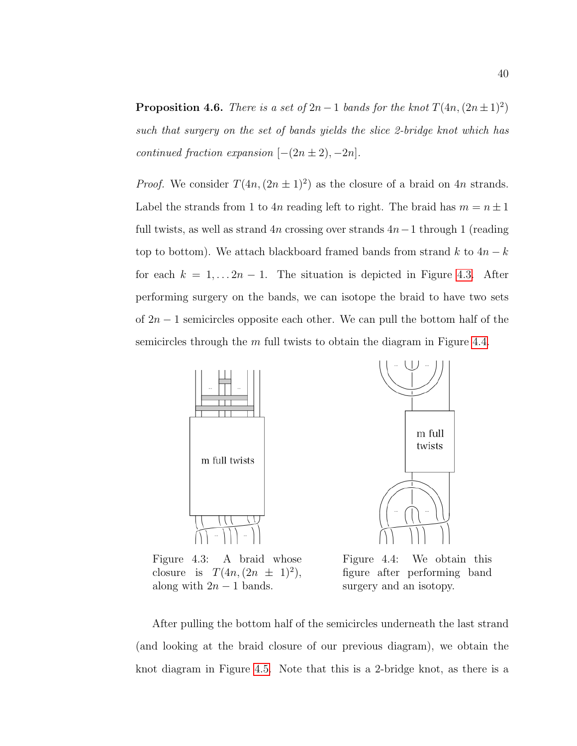<span id="page-50-1"></span>**Proposition 4.6.** There is a set of  $2n-1$  bands for the knot  $T(4n,(2n\pm 1)^2)$ such that surgery on the set of bands yields the slice 2-bridge knot which has continued fraction expansion  $[-(2n \pm 2), -2n]$ .

*Proof.* We consider  $T(4n,(2n \pm 1)^2)$  as the closure of a braid on 4n strands. Label the strands from 1 to 4n reading left to right. The braid has  $m = n \pm 1$ full twists, as well as strand  $4n$  crossing over strands  $4n-1$  through 1 (reading top to bottom). We attach blackboard framed bands from strand k to  $4n - k$ for each  $k = 1, \ldots 2n - 1$ . The situation is depicted in Figure [4.3.](#page-50-0) After performing surgery on the bands, we can isotope the braid to have two sets of  $2n - 1$  semicircles opposite each other. We can pull the bottom half of the semicircles through the  $m$  full twists to obtain the diagram in Figure [4.4.](#page-50-0)

<span id="page-50-0"></span>

Figure 4.3: A braid whose closure is  $T(4n, (2n \pm 1)^2)$ , along with  $2n - 1$  bands.

Figure 4.4: We obtain this figure after performing band surgery and an isotopy.

After pulling the bottom half of the semicircles underneath the last strand (and looking at the braid closure of our previous diagram), we obtain the knot diagram in Figure [4.5.](#page-51-0) Note that this is a 2-bridge knot, as there is a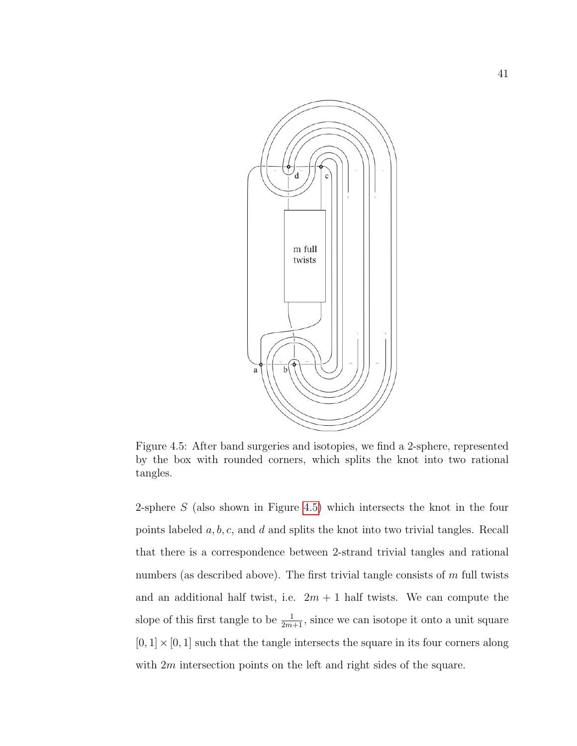<span id="page-51-0"></span>

Figure 4.5: After band surgeries and isotopies, we find a 2-sphere, represented by the box with rounded corners, which splits the knot into two rational tangles.

2-sphere S (also shown in Figure [4.5\)](#page-51-0) which intersects the knot in the four points labeled a, b, c, and d and splits the knot into two trivial tangles. Recall that there is a correspondence between 2-strand trivial tangles and rational numbers (as described above). The first trivial tangle consists of  $m$  full twists and an additional half twist, i.e.  $2m + 1$  half twists. We can compute the slope of this first tangle to be  $\frac{1}{2m+1}$ , since we can isotope it onto a unit square  $[0, 1] \times [0, 1]$  such that the tangle intersects the square in its four corners along with 2m intersection points on the left and right sides of the square.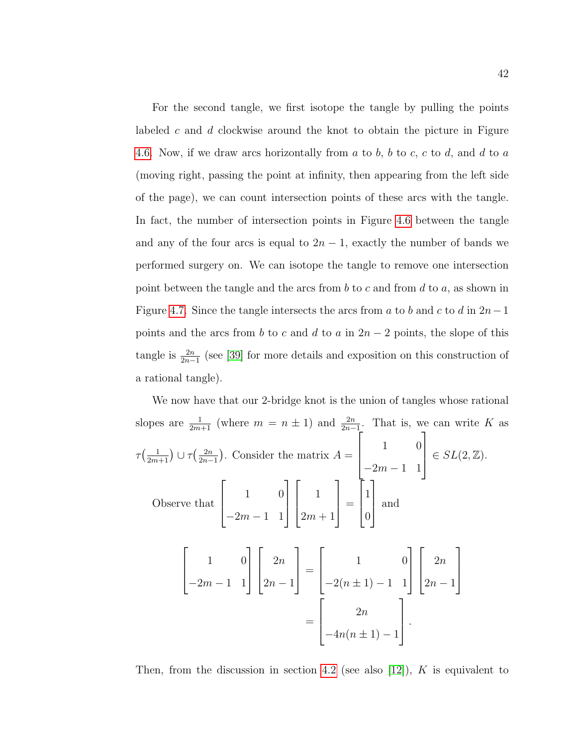For the second tangle, we first isotope the tangle by pulling the points labeled c and  $d$  clockwise around the knot to obtain the picture in Figure [4.6.](#page-53-1) Now, if we draw arcs horizontally from  $a$  to  $b$ ,  $b$  to  $c$ ,  $c$  to  $d$ , and  $d$  to  $a$ (moving right, passing the point at infinity, then appearing from the left side of the page), we can count intersection points of these arcs with the tangle. In fact, the number of intersection points in Figure [4.6](#page-53-1) between the tangle and any of the four arcs is equal to  $2n - 1$ , exactly the number of bands we performed surgery on. We can isotope the tangle to remove one intersection point between the tangle and the arcs from b to c and from d to a, as shown in Figure [4.7.](#page-53-1) Since the tangle intersects the arcs from a to b and c to d in  $2n-1$ points and the arcs from b to c and d to a in  $2n-2$  points, the slope of this tangle is  $\frac{2n}{2n-1}$  (see [\[39\]](#page-61-2) for more details and exposition on this construction of a rational tangle).

We now have that our 2-bridge knot is the union of tangles whose rational slopes are  $\frac{1}{2m+1}$  (where  $m = n \pm 1$ ) and  $\frac{2n}{2n-1}$ . That is, we can write K as  $\tau\left(\frac{1}{2m+1}\right)\cup\tau\left(\frac{2n}{2n-1}\right)$  $\frac{2n}{2n-1}$ ). Consider the matrix  $A =$  $\sqrt{ }$  $\overline{\phantom{a}}$ 1 0  $-2m-1$  1 1  $\overline{\phantom{a}}$  $\in SL(2,\mathbb{Z}).$ Observe that  $\sqrt{ }$  $\Big\}$ 1 0  $-2m-1$  1 1  $\Bigg\}$  $\sqrt{ }$  $\Bigg)$ 1  $2m + 1$ 1  $\Big| =$  $\sqrt{ }$  $\Big\}$ 1 0 1  $\begin{array}{c} \hline \end{array}$ and  $\sqrt{ }$  $\overline{\phantom{a}}$ 1 0  $-2m-1$  1 1  $\overline{\phantom{a}}$  $\sqrt{ }$  $\overline{\phantom{a}}$  $2n$  $2n - 1$ 1  $\Bigg| =$  $\lceil$  $\overline{\phantom{a}}$ 1 0  $-2(n \pm 1) - 1$  1 1  $\overline{\phantom{a}}$  $\sqrt{ }$  $\overline{\phantom{a}}$  $2n$  $2n - 1$ 1  $\overline{\phantom{a}}$ =  $\sqrt{ }$  $\vert$  $2n$  $-4n(n \pm 1) - 1$ 1  $\vert \cdot$ 

Then, from the discussion in section [4.2](#page-42-0) (see also [\[12\]](#page-58-3)), K is equivalent to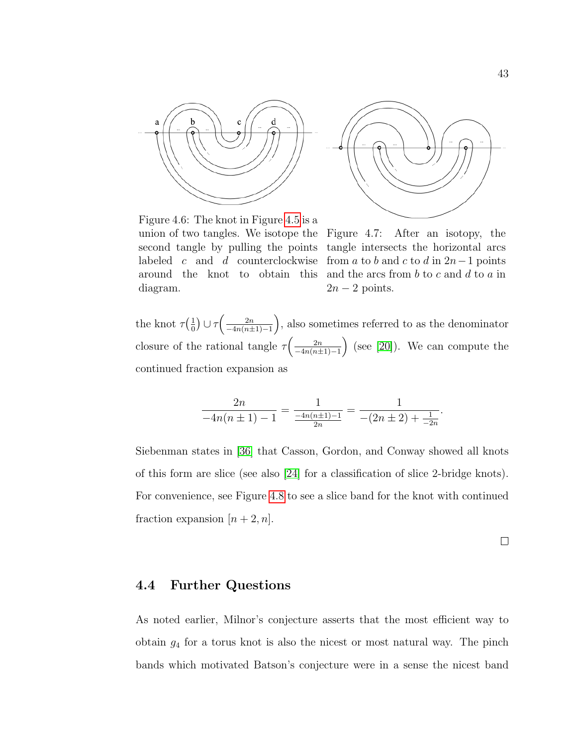<span id="page-53-1"></span>



Figure 4.6: The knot in Figure [4.5](#page-51-0) is a union of two tangles. We isotope the Figure 4.7: After an isotopy, the second tangle by pulling the points labeled  $c$  and  $d$  counterclockwise around the knot to obtain this diagram.

tangle intersects the horizontal arcs from a to b and c to d in  $2n-1$  points and the arcs from  $b$  to  $c$  and  $d$  to  $a$  in  $2n-2$  points.

the knot  $\tau(\frac{1}{0})$  $\frac{1}{0}$ )  $\cup \tau \left( \frac{2n}{-4n(n\pm1)} \right)$  $\frac{2n}{-4n(n+1)-1}$ , also sometimes referred to as the denominator closure of the rational tangle  $\tau\left(\frac{2n}{-4n(n+1)}\right)$  $\frac{2n}{-4n(n+1)-1}$  (see [\[20\]](#page-59-8)). We can compute the continued fraction expansion as

$$
\frac{2n}{-4n(n\pm 1)-1} = \frac{1}{\frac{-4n(n\pm 1)-1}{2n}} = \frac{1}{-(2n\pm 2)+\frac{1}{-2n}}.
$$

Siebenman states in [\[36\]](#page-60-7) that Casson, Gordon, and Conway showed all knots of this form are slice (see also [\[24\]](#page-59-9) for a classification of slice 2-bridge knots). For convenience, see Figure [4.8](#page-54-0) to see a slice band for the knot with continued fraction expansion  $[n+2, n]$ .

 $\Box$ 

#### <span id="page-53-0"></span>4.4 Further Questions

As noted earlier, Milnor's conjecture asserts that the most efficient way to obtain  $g_4$  for a torus knot is also the nicest or most natural way. The pinch bands which motivated Batson's conjecture were in a sense the nicest band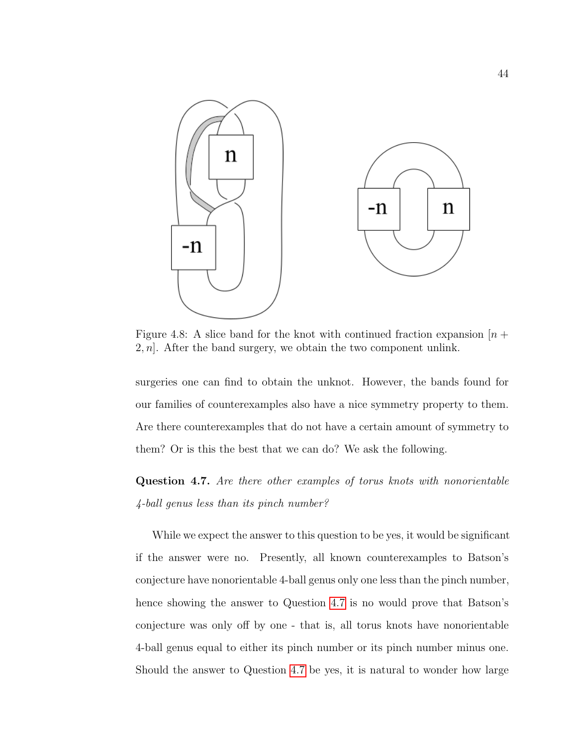<span id="page-54-0"></span>

Figure 4.8: A slice band for the knot with continued fraction expansion  $[n +]$  $2, n$ . After the band surgery, we obtain the two component unlink.

surgeries one can find to obtain the unknot. However, the bands found for our families of counterexamples also have a nice symmetry property to them. Are there counterexamples that do not have a certain amount of symmetry to them? Or is this the best that we can do? We ask the following.

<span id="page-54-1"></span>Question 4.7. Are there other examples of torus knots with nonorientable 4-ball genus less than its pinch number?

While we expect the answer to this question to be yes, it would be significant if the answer were no. Presently, all known counterexamples to Batson's conjecture have nonorientable 4-ball genus only one less than the pinch number, hence showing the answer to Question [4.7](#page-54-1) is no would prove that Batson's conjecture was only off by one - that is, all torus knots have nonorientable 4-ball genus equal to either its pinch number or its pinch number minus one. Should the answer to Question [4.7](#page-54-1) be yes, it is natural to wonder how large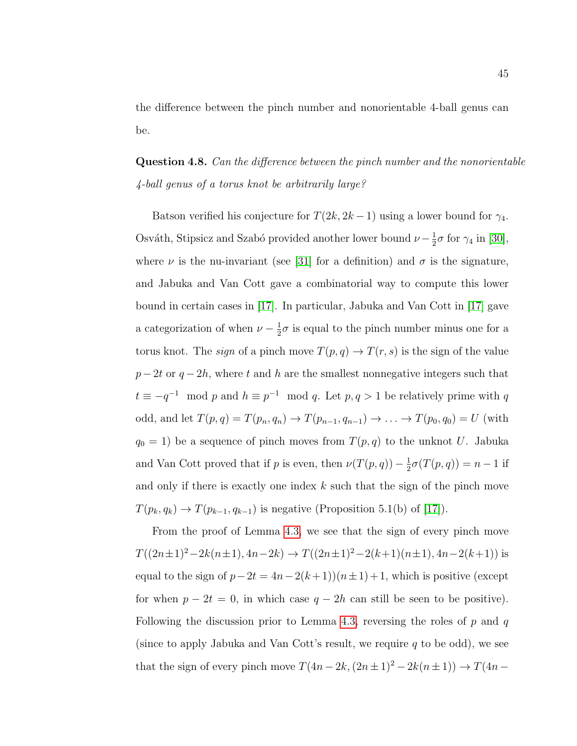the difference between the pinch number and nonorientable 4-ball genus can be.

# Question 4.8. Can the difference between the pinch number and the nonorientable 4-ball genus of a torus knot be arbitrarily large?

Batson verified his conjecture for  $T(2k, 2k-1)$  using a lower bound for  $\gamma_4$ . Osváth, Stipsicz and Szabó provided another lower bound  $\nu - \frac{1}{2}$  $\frac{1}{2}\sigma$  for  $\gamma_4$  in [\[30\]](#page-60-8), where  $\nu$  is the nu-invariant (see [\[31\]](#page-60-9) for a definition) and  $\sigma$  is the signature, and Jabuka and Van Cott gave a combinatorial way to compute this lower bound in certain cases in [\[17\]](#page-59-6). In particular, Jabuka and Van Cott in [\[17\]](#page-59-6) gave a categorization of when  $\nu - \frac{1}{2}$  $\frac{1}{2}\sigma$  is equal to the pinch number minus one for a torus knot. The *sign* of a pinch move  $T(p,q) \to T(r,s)$  is the sign of the value  $p-2t$  or  $q-2h$ , where t and h are the smallest nonnegative integers such that  $t \equiv -q^{-1} \mod p$  and  $h \equiv p^{-1} \mod q$ . Let  $p, q > 1$  be relatively prime with q odd, and let  $T(p, q) = T(p_n, q_n) \to T(p_{n-1}, q_{n-1}) \to \dots \to T(p_0, q_0) = U$  (with  $q_0 = 1$ ) be a sequence of pinch moves from  $T(p, q)$  to the unknot U. Jabuka and Van Cott proved that if p is even, then  $\nu(T(p,q)) - \frac{1}{2}$  $\frac{1}{2}\sigma(T(p,q)) = n - 1$  if and only if there is exactly one index  $k$  such that the sign of the pinch move  $T(p_k, q_k) \rightarrow T(p_{k-1}, q_{k-1})$  is negative (Proposition 5.1(b) of [\[17\]](#page-59-6)).

From the proof of Lemma [4.3,](#page-44-2) we see that the sign of every pinch move  $T((2n\pm 1)^2-2k(n\pm 1), 4n-2k) \rightarrow T((2n\pm 1)^2-2(k+1)(n\pm 1), 4n-2(k+1))$  is equal to the sign of  $p-2t = 4n-2(k+1)(n\pm 1)+1$ , which is positive (except for when  $p - 2t = 0$ , in which case  $q - 2h$  can still be seen to be positive). Following the discussion prior to Lemma [4.3,](#page-44-2) reversing the roles of  $p$  and  $q$ (since to apply Jabuka and Van Cott's result, we require q to be odd), we see that the sign of every pinch move  $T(4n - 2k, (2n \pm 1)^2 - 2k(n \pm 1)) \rightarrow T(4n -$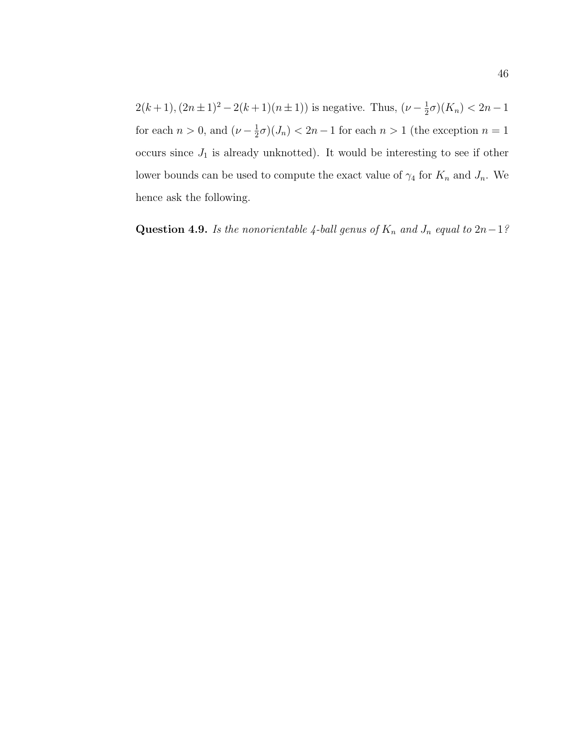$2(k+1), (2n+1)^2 - 2(k+1)(n+1)$  is negative. Thus,  $(\nu - \frac{1}{2})$  $(\frac{1}{2}\sigma)(K_n) < 2n-1$ for each  $n > 0$ , and  $(\nu - \frac{1}{2})$  $\frac{1}{2}\sigma$  $(J_n)$  < 2n – 1 for each n > 1 (the exception n = 1 occurs since  $J_1$  is already unknotted). It would be interesting to see if other lower bounds can be used to compute the exact value of  $\gamma_4$  for  $K_n$  and  $J_n$ . We hence ask the following.

Question 4.9. Is the nonorientable 4-ball genus of  $K_n$  and  $J_n$  equal to  $2n-1$ ?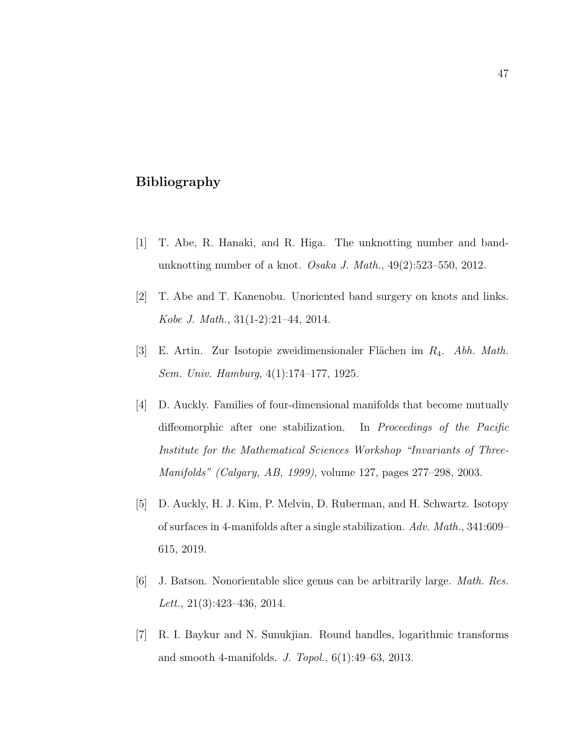## <span id="page-57-0"></span>Bibliography

- <span id="page-57-2"></span>[1] T. Abe, R. Hanaki, and R. Higa. The unknotting number and bandunknotting number of a knot. Osaka J. Math., 49(2):523–550, 2012.
- <span id="page-57-1"></span>[2] T. Abe and T. Kanenobu. Unoriented band surgery on knots and links. Kobe J. Math., 31(1-2):21–44, 2014.
- <span id="page-57-3"></span>[3] E. Artin. Zur Isotopie zweidimensionaler Flächen im  $R_4$ . Abh. Math. Sem. Univ. Hamburg, 4(1):174–177, 1925.
- <span id="page-57-5"></span>[4] D. Auckly. Families of four-dimensional manifolds that become mutually diffeomorphic after one stabilization. In Proceedings of the Pacific Institute for the Mathematical Sciences Workshop "Invariants of Three-Manifolds" (Calgary, AB, 1999), volume 127, pages 277–298, 2003.
- <span id="page-57-4"></span>[5] D. Auckly, H. J. Kim, P. Melvin, D. Ruberman, and H. Schwartz. Isotopy of surfaces in 4-manifolds after a single stabilization. Adv. Math., 341:609– 615, 2019.
- <span id="page-57-7"></span>[6] J. Batson. Nonorientable slice genus can be arbitrarily large. Math. Res. Lett.,  $21(3):423-436$ ,  $2014$ .
- <span id="page-57-6"></span>[7] R. I. Baykur and N. Sunukjian. Round handles, logarithmic transforms and smooth 4-manifolds. J. Topol., 6(1):49–63, 2013.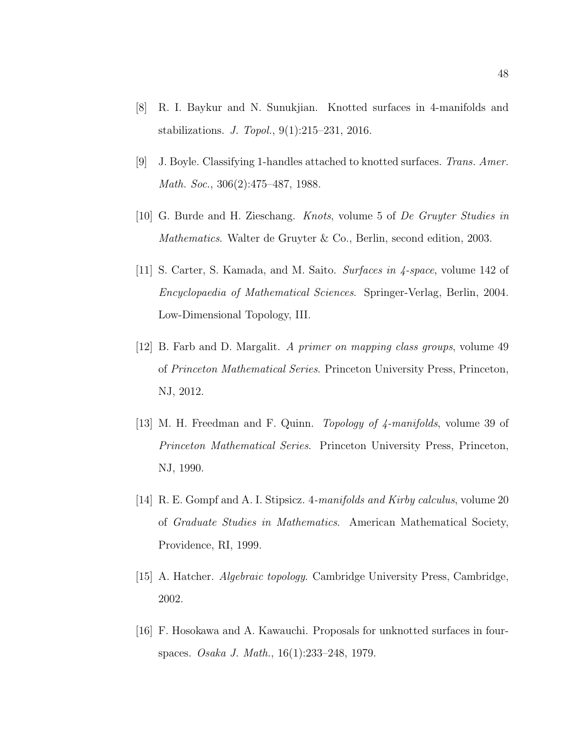- <span id="page-58-7"></span>[8] R. I. Baykur and N. Sunukjian. Knotted surfaces in 4-manifolds and stabilizations. J. Topol., 9(1):215–231, 2016.
- <span id="page-58-8"></span>[9] J. Boyle. Classifying 1-handles attached to knotted surfaces. Trans. Amer. Math. Soc., 306(2):475–487, 1988.
- <span id="page-58-2"></span>[10] G. Burde and H. Zieschang. Knots, volume 5 of De Gruyter Studies in Mathematics. Walter de Gruyter & Co., Berlin, second edition, 2003.
- <span id="page-58-1"></span>[11] S. Carter, S. Kamada, and M. Saito. Surfaces in 4-space, volume 142 of Encyclopaedia of Mathematical Sciences. Springer-Verlag, Berlin, 2004. Low-Dimensional Topology, III.
- <span id="page-58-3"></span>[12] B. Farb and D. Margalit. A primer on mapping class groups, volume 49 of Princeton Mathematical Series. Princeton University Press, Princeton, NJ, 2012.
- <span id="page-58-6"></span>[13] M. H. Freedman and F. Quinn. *Topology of 4-manifolds*, volume 39 of Princeton Mathematical Series. Princeton University Press, Princeton, NJ, 1990.
- <span id="page-58-4"></span>[14] R. E. Gompf and A. I. Stipsicz. 4-manifolds and Kirby calculus, volume 20 of Graduate Studies in Mathematics. American Mathematical Society, Providence, RI, 1999.
- <span id="page-58-0"></span>[15] A. Hatcher. Algebraic topology. Cambridge University Press, Cambridge, 2002.
- <span id="page-58-5"></span>[16] F. Hosokawa and A. Kawauchi. Proposals for unknotted surfaces in fourspaces. Osaka J. Math., 16(1):233–248, 1979.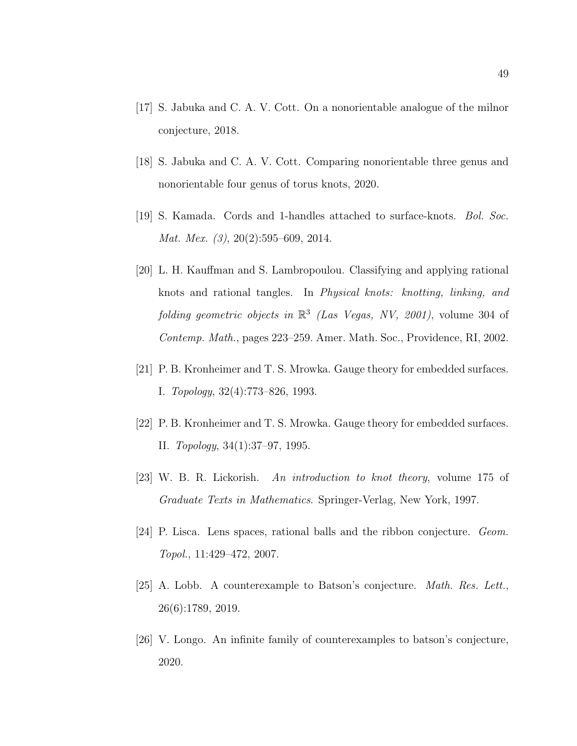- <span id="page-59-6"></span>[17] S. Jabuka and C. A. V. Cott. On a nonorientable analogue of the milnor conjecture, 2018.
- <span id="page-59-7"></span>[18] S. Jabuka and C. A. V. Cott. Comparing nonorientable three genus and nonorientable four genus of torus knots, 2020.
- <span id="page-59-1"></span>[19] S. Kamada. Cords and 1-handles attached to surface-knots. Bol. Soc. Mat. Mex. (3), 20(2):595–609, 2014.
- <span id="page-59-8"></span>[20] L. H. Kauffman and S. Lambropoulou. Classifying and applying rational knots and rational tangles. In Physical knots: knotting, linking, and folding geometric objects in  $\mathbb{R}^3$  (Las Vegas, NV, 2001), volume 304 of Contemp. Math., pages 223–259. Amer. Math. Soc., Providence, RI, 2002.
- <span id="page-59-4"></span>[21] P. B. Kronheimer and T. S. Mrowka. Gauge theory for embedded surfaces. I. Topology, 32(4):773–826, 1993.
- <span id="page-59-5"></span>[22] P. B. Kronheimer and T. S. Mrowka. Gauge theory for embedded surfaces. II. Topology, 34(1):37–97, 1995.
- <span id="page-59-0"></span>[23] W. B. R. Lickorish. An introduction to knot theory, volume 175 of Graduate Texts in Mathematics. Springer-Verlag, New York, 1997.
- <span id="page-59-9"></span>[24] P. Lisca. Lens spaces, rational balls and the ribbon conjecture. Geom. Topol., 11:429–472, 2007.
- <span id="page-59-3"></span>[25] A. Lobb. A counterexample to Batson's conjecture. Math. Res. Lett., 26(6):1789, 2019.
- <span id="page-59-2"></span>[26] V. Longo. An infinite family of counterexamples to batson's conjecture, 2020.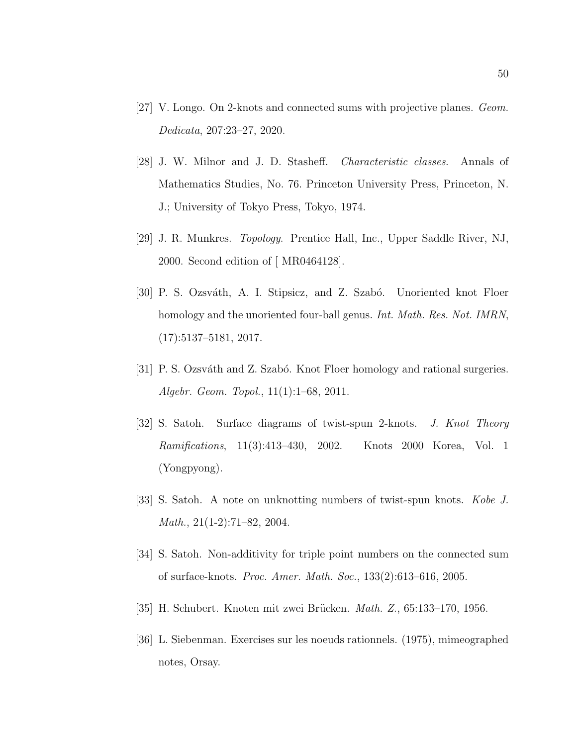- <span id="page-60-3"></span>[27] V. Longo. On 2-knots and connected sums with projective planes. Geom. Dedicata, 207:23–27, 2020.
- <span id="page-60-2"></span>[28] J. W. Milnor and J. D. Stasheff. Characteristic classes. Annals of Mathematics Studies, No. 76. Princeton University Press, Princeton, N. J.; University of Tokyo Press, Tokyo, 1974.
- <span id="page-60-0"></span>[29] J. R. Munkres. Topology. Prentice Hall, Inc., Upper Saddle River, NJ, 2000. Second edition of [ MR0464128].
- <span id="page-60-8"></span>[30] P. S. Ozsváth, A. I. Stipsicz, and Z. Szabó. Unoriented knot Floer homology and the unoriented four-ball genus. *Int. Math. Res. Not. IMRN*, (17):5137–5181, 2017.
- <span id="page-60-9"></span>[31] P. S. Ozsváth and Z. Szabó. Knot Floer homology and rational surgeries. Algebr. Geom. Topol., 11(1):1–68, 2011.
- <span id="page-60-4"></span>[32] S. Satoh. Surface diagrams of twist-spun 2-knots. J. Knot Theory Ramifications, 11(3):413–430, 2002. Knots 2000 Korea, Vol. 1 (Yongpyong).
- <span id="page-60-6"></span>[33] S. Satoh. A note on unknotting numbers of twist-spun knots. Kobe J. Math., 21(1-2):71–82, 2004.
- <span id="page-60-5"></span>[34] S. Satoh. Non-additivity for triple point numbers on the connected sum of surface-knots. Proc. Amer. Math. Soc., 133(2):613–616, 2005.
- <span id="page-60-7"></span><span id="page-60-1"></span>[35] H. Schubert. Knoten mit zwei Brücken. *Math. Z.*, 65:133–170, 1956.
- [36] L. Siebenman. Exercises sur les noeuds rationnels. (1975), mimeographed notes, Orsay.